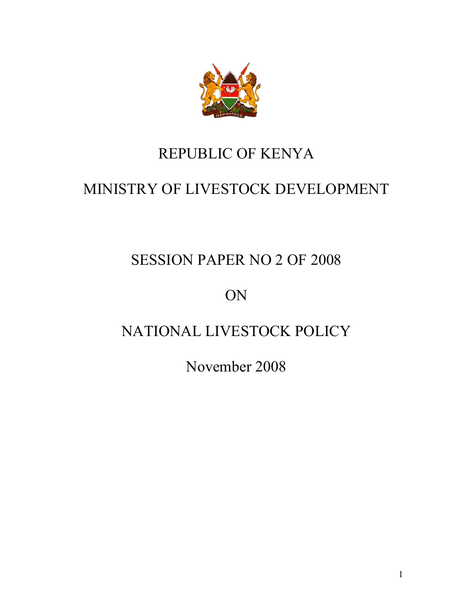

# REPUBLIC OF KENYA

# MINISTRY OF LIVESTOCK DEVELOPMENT

# SESSION PAPER NO 2 OF 2008

ON

# NATIONAL LIVESTOCK POLICY

November 2008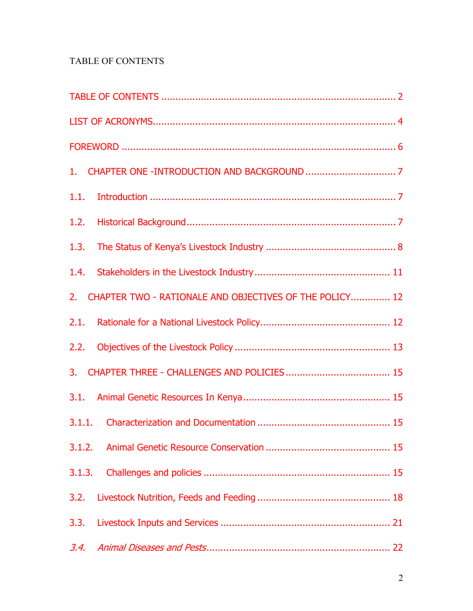### TABLE OF CONTENTS

| 1.1.                                                       |
|------------------------------------------------------------|
| 1.2.                                                       |
| 1.3.                                                       |
| 1.4.                                                       |
| 2. CHAPTER TWO - RATIONALE AND OBJECTIVES OF THE POLICY 12 |
|                                                            |
|                                                            |
|                                                            |
|                                                            |
|                                                            |
|                                                            |
| 3.1.3.                                                     |
| 3.2.                                                       |
| 3.3.                                                       |
| 3.4.                                                       |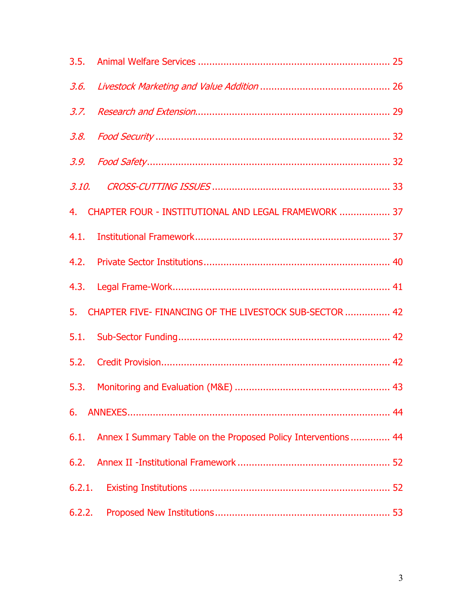|        | 4. CHAPTER FOUR - INSTITUTIONAL AND LEGAL FRAMEWORK  37            |  |
|--------|--------------------------------------------------------------------|--|
|        |                                                                    |  |
|        |                                                                    |  |
|        |                                                                    |  |
|        | 5. CHAPTER FIVE- FINANCING OF THE LIVESTOCK SUB-SECTOR  42         |  |
|        |                                                                    |  |
|        |                                                                    |  |
|        |                                                                    |  |
|        |                                                                    |  |
|        | 6.1. Annex I Summary Table on the Proposed Policy Interventions 44 |  |
|        |                                                                    |  |
| 6.2.1. |                                                                    |  |
| 6.2.2. |                                                                    |  |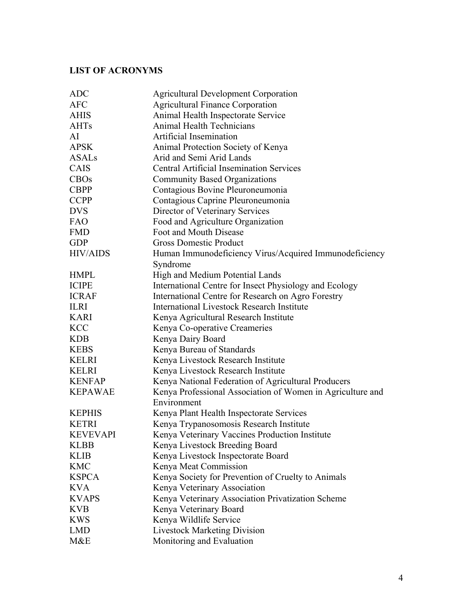### **LIST OF ACRONYMS**

| <b>ADC</b>      | <b>Agricultural Development Corporation</b>                |  |  |
|-----------------|------------------------------------------------------------|--|--|
| <b>AFC</b>      | <b>Agricultural Finance Corporation</b>                    |  |  |
| <b>AHIS</b>     | Animal Health Inspectorate Service                         |  |  |
| <b>AHTs</b>     | Animal Health Technicians                                  |  |  |
| AI              | Artificial Insemination                                    |  |  |
| <b>APSK</b>     | Animal Protection Society of Kenya                         |  |  |
| <b>ASALs</b>    | Arid and Semi Arid Lands                                   |  |  |
| CAIS            | <b>Central Artificial Insemination Services</b>            |  |  |
| <b>CBOs</b>     | <b>Community Based Organizations</b>                       |  |  |
| <b>CBPP</b>     | Contagious Bovine Pleuroneumonia                           |  |  |
| <b>CCPP</b>     | Contagious Caprine Pleuroneumonia                          |  |  |
| <b>DVS</b>      | Director of Veterinary Services                            |  |  |
| <b>FAO</b>      | Food and Agriculture Organization                          |  |  |
| <b>FMD</b>      | Foot and Mouth Disease                                     |  |  |
| <b>GDP</b>      | <b>Gross Domestic Product</b>                              |  |  |
| <b>HIV/AIDS</b> | Human Immunodeficiency Virus/Acquired Immunodeficiency     |  |  |
|                 | Syndrome                                                   |  |  |
| <b>HMPL</b>     | High and Medium Potential Lands                            |  |  |
| <b>ICIPE</b>    | International Centre for Insect Physiology and Ecology     |  |  |
| <b>ICRAF</b>    | International Centre for Research on Agro Forestry         |  |  |
| <b>ILRI</b>     | <b>International Livestock Research Institute</b>          |  |  |
| <b>KARI</b>     | Kenya Agricultural Research Institute                      |  |  |
| <b>KCC</b>      | Kenya Co-operative Creameries                              |  |  |
| <b>KDB</b>      | Kenya Dairy Board                                          |  |  |
| <b>KEBS</b>     | Kenya Bureau of Standards                                  |  |  |
| <b>KELRI</b>    | Kenya Livestock Research Institute                         |  |  |
| <b>KELRI</b>    | Kenya Livestock Research Institute                         |  |  |
| <b>KENFAP</b>   | Kenya National Federation of Agricultural Producers        |  |  |
| <b>KEPAWAE</b>  | Kenya Professional Association of Women in Agriculture and |  |  |
|                 | Environment                                                |  |  |
| <b>KEPHIS</b>   | Kenya Plant Health Inspectorate Services                   |  |  |
| <b>KETRI</b>    | Kenya Trypanosomosis Research Institute                    |  |  |
| <b>KEVEVAPI</b> | Kenya Veterinary Vaccines Production Institute             |  |  |
| <b>KLBB</b>     | Kenya Livestock Breeding Board                             |  |  |
| <b>KLIB</b>     | Kenya Livestock Inspectorate Board                         |  |  |
| <b>KMC</b>      | Kenya Meat Commission                                      |  |  |
| <b>KSPCA</b>    | Kenya Society for Prevention of Cruelty to Animals         |  |  |
| <b>KVA</b>      | Kenya Veterinary Association                               |  |  |
| <b>KVAPS</b>    | Kenya Veterinary Association Privatization Scheme          |  |  |
| <b>KVB</b>      | Kenya Veterinary Board                                     |  |  |
| <b>KWS</b>      | Kenya Wildlife Service                                     |  |  |
| <b>LMD</b>      | <b>Livestock Marketing Division</b>                        |  |  |
| M&E             | Monitoring and Evaluation                                  |  |  |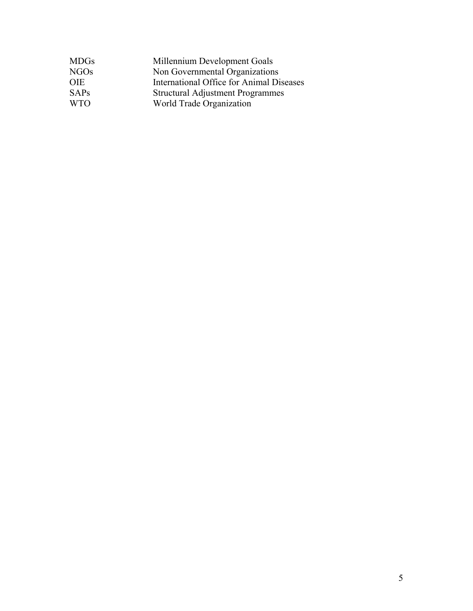| Millennium Development Goals             |
|------------------------------------------|
| Non Governmental Organizations           |
| International Office for Animal Diseases |
| <b>Structural Adjustment Programmes</b>  |
| World Trade Organization                 |
|                                          |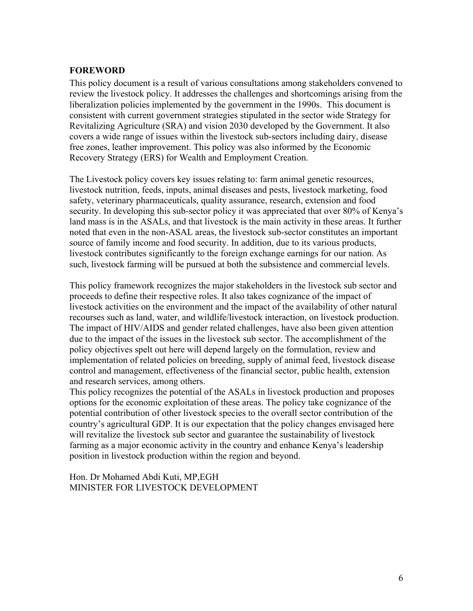### **FOREWORD**

This policy document is a result of various consultations among stakeholders convened to review the livestock policy. It addresses the challenges and shortcomings arising from the liberalization policies implemented by the government in the 1990s. This document is consistent with current government strategies stipulated in the sector wide Strategy for Revitalizing Agriculture (SRA) and vision 2030 developed by the Government. It also covers a wide range of issues within the livestock sub-sectors including dairy, disease free zones, leather improvement. This policy was also informed by the Economic Recovery Strategy (ERS) for Wealth and Employment Creation.

The Livestock policy covers key issues relating to: farm animal genetic resources, livestock nutrition, feeds, inputs, animal diseases and pests, livestock marketing, food safety, veterinary pharmaceuticals, quality assurance, research, extension and food security. In developing this sub-sector policy it was appreciated that over 80% of Kenya's land mass is in the ASALs, and that livestock is the main activity in these areas. It further noted that even in the non-ASAL areas, the livestock sub-sector constitutes an important source of family income and food security. In addition, due to its various products, livestock contributes significantly to the foreign exchange earnings for our nation. As such, livestock farming will be pursued at both the subsistence and commercial levels.

This policy framework recognizes the major stakeholders in the livestock sub sector and proceeds to define their respective roles. It also takes cognizance of the impact of livestock activities on the environment and the impact of the availability of other natural recourses such as land, water, and wildlife/livestock interaction, on livestock production. The impact of HIV/AIDS and gender related challenges, have also been given attention due to the impact of the issues in the livestock sub sector. The accomplishment of the policy objectives spelt out here will depend largely on the formulation, review and implementation of related policies on breeding, supply of animal feed, livestock disease control and management, effectiveness of the financial sector, public health, extension and research services, among others.

This policy recognizes the potential of the ASALs in livestock production and proposes options for the economic exploitation of these areas. The policy take cognizance of the potential contribution of other livestock species to the overall sector contribution of the country's agricultural GDP. It is our expectation that the policy changes envisaged here will revitalize the livestock sub sector and guarantee the sustainability of livestock farming as a major economic activity in the country and enhance Kenya's leadership position in livestock production within the region and beyond.

Hon. Dr Mohamed Abdi Kuti, MP,EGH MINISTER FOR LIVESTOCK DEVELOPMENT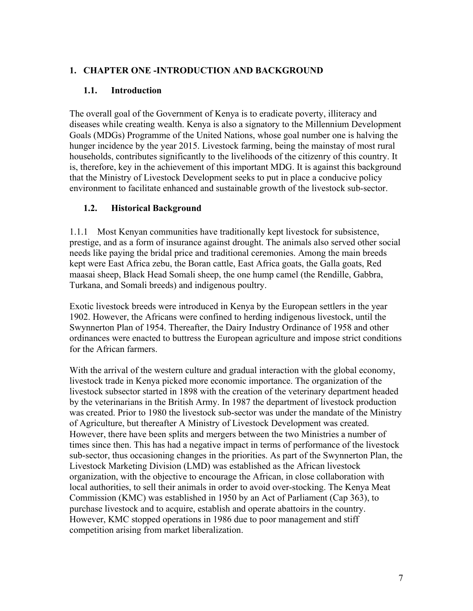### **1. CHAPTER ONE -INTRODUCTION AND BACKGROUND**

### **1.1. Introduction**

The overall goal of the Government of Kenya is to eradicate poverty, illiteracy and diseases while creating wealth. Kenya is also a signatory to the Millennium Development Goals (MDGs) Programme of the United Nations, whose goal number one is halving the hunger incidence by the year 2015. Livestock farming, being the mainstay of most rural households, contributes significantly to the livelihoods of the citizenry of this country. It is, therefore, key in the achievement of this important MDG. It is against this background that the Ministry of Livestock Development seeks to put in place a conducive policy environment to facilitate enhanced and sustainable growth of the livestock sub-sector.

### **1.2. Historical Background**

1.1.1 Most Kenyan communities have traditionally kept livestock for subsistence, prestige, and as a form of insurance against drought. The animals also served other social needs like paying the bridal price and traditional ceremonies. Among the main breeds kept were East Africa zebu, the Boran cattle, East Africa goats, the Galla goats, Red maasai sheep, Black Head Somali sheep, the one hump camel (the Rendille, Gabbra, Turkana, and Somali breeds) and indigenous poultry.

Exotic livestock breeds were introduced in Kenya by the European settlers in the year 1902. However, the Africans were confined to herding indigenous livestock, until the Swynnerton Plan of 1954. Thereafter, the Dairy Industry Ordinance of 1958 and other ordinances were enacted to buttress the European agriculture and impose strict conditions for the African farmers.

With the arrival of the western culture and gradual interaction with the global economy, livestock trade in Kenya picked more economic importance. The organization of the livestock subsector started in 1898 with the creation of the veterinary department headed by the veterinarians in the British Army. In 1987 the department of livestock production was created. Prior to 1980 the livestock sub-sector was under the mandate of the Ministry of Agriculture, but thereafter A Ministry of Livestock Development was created. However, there have been splits and mergers between the two Ministries a number of times since then. This has had a negative impact in terms of performance of the livestock sub-sector, thus occasioning changes in the priorities. As part of the Swynnerton Plan, the Livestock Marketing Division (LMD) was established as the African livestock organization, with the objective to encourage the African, in close collaboration with local authorities, to sell their animals in order to avoid over-stocking. The Kenya Meat Commission (KMC) was established in 1950 by an Act of Parliament (Cap 363), to purchase livestock and to acquire, establish and operate abattoirs in the country. However, KMC stopped operations in 1986 due to poor management and stiff competition arising from market liberalization.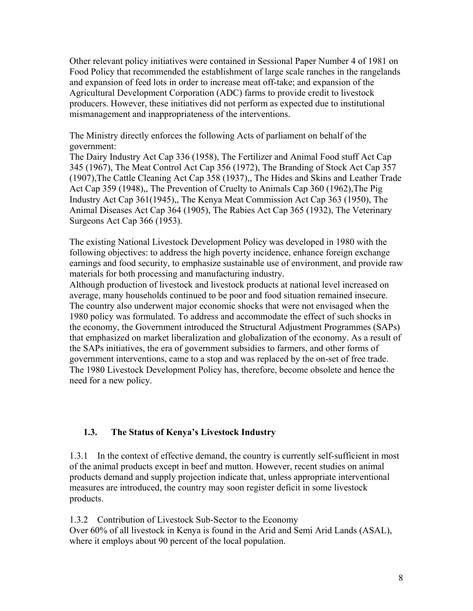Other relevant policy initiatives were contained in Sessional Paper Number 4 of 1981 on Food Policy that recommended the establishment of large scale ranches in the rangelands and expansion of feed lots in order to increase meat off-take; and expansion of the Agricultural Development Corporation (ADC) farms to provide credit to livestock producers. However, these initiatives did not perform as expected due to institutional mismanagement and inappropriateness of the interventions.

The Ministry directly enforces the following Acts of parliament on behalf of the government:

The Dairy Industry Act Cap 336 (1958), The Fertilizer and Animal Food stuff Act Cap 345 (1967), The Meat Control Act Cap 356 (1972), The Branding of Stock Act Cap 357 (1907),The Cattle Cleaning Act Cap 358 (1937),, The Hides and Skins and Leather Trade Act Cap 359 (1948),, The Prevention of Cruelty to Animals Cap 360 (1962),The Pig Industry Act Cap 361(1945),, The Kenya Meat Commission Act Cap 363 (1950), The Animal Diseases Act Cap 364 (1905), The Rabies Act Cap 365 (1932), The Veterinary Surgeons Act Cap 366 (1953).

The existing National Livestock Development Policy was developed in 1980 with the following objectives: to address the high poverty incidence, enhance foreign exchange earnings and food security, to emphasize sustainable use of environment, and provide raw materials for both processing and manufacturing industry.

Although production of livestock and livestock products at national level increased on average, many households continued to be poor and food situation remained insecure. The country also underwent major economic shocks that were not envisaged when the 1980 policy was formulated. To address and accommodate the effect of such shocks in the economy, the Government introduced the Structural Adjustment Programmes (SAPs) that emphasized on market liberalization and globalization of the economy. As a result of the SAPs initiatives, the era of government subsidies to farmers, and other forms of government interventions, came to a stop and was replaced by the on-set of free trade. The 1980 Livestock Development Policy has, therefore, become obsolete and hence the need for a new policy.

### **1.3. The Status of Kenya's Livestock Industry**

1.3.1 In the context of effective demand, the country is currently self-sufficient in most of the animal products except in beef and mutton. However, recent studies on animal products demand and supply projection indicate that, unless appropriate interventional measures are introduced, the country may soon register deficit in some livestock products.

1.3.2 Contribution of Livestock Sub-Sector to the Economy Over 60% of all livestock in Kenya is found in the Arid and Semi Arid Lands (ASAL), where it employs about 90 percent of the local population.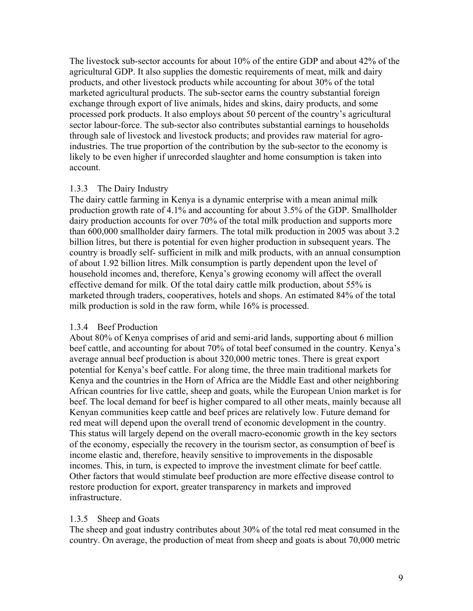The livestock sub-sector accounts for about 10% of the entire GDP and about 42% of the agricultural GDP. It also supplies the domestic requirements of meat, milk and dairy products, and other livestock products while accounting for about 30% of the total marketed agricultural products. The sub-sector earns the country substantial foreign exchange through export of live animals, hides and skins, dairy products, and some processed pork products. It also employs about 50 percent of the country's agricultural sector labour-force. The sub-sector also contributes substantial earnings to households through sale of livestock and livestock products; and provides raw material for agroindustries. The true proportion of the contribution by the sub-sector to the economy is likely to be even higher if unrecorded slaughter and home consumption is taken into account.

#### 1.3.3 The Dairy Industry

The dairy cattle farming in Kenya is a dynamic enterprise with a mean animal milk production growth rate of 4.1% and accounting for about 3.5% of the GDP. Smallholder dairy production accounts for over 70% of the total milk production and supports more than 600,000 smallholder dairy farmers. The total milk production in 2005 was about 3.2 billion litres, but there is potential for even higher production in subsequent years. The country is broadly self- sufficient in milk and milk products, with an annual consumption of about 1.92 billion litres. Milk consumption is partly dependent upon the level of household incomes and, therefore, Kenya's growing economy will affect the overall effective demand for milk. Of the total dairy cattle milk production, about 55% is marketed through traders, cooperatives, hotels and shops. An estimated 84% of the total milk production is sold in the raw form, while 16% is processed.

#### 1.3.4 Beef Production

About 80% of Kenya comprises of arid and semi-arid lands, supporting about 6 million beef cattle, and accounting for about 70% of total beef consumed in the country. Kenya's average annual beef production is about 320,000 metric tones. There is great export potential for Kenya's beef cattle. For along time, the three main traditional markets for Kenya and the countries in the Horn of Africa are the Middle East and other neighboring African countries for live cattle, sheep and goats, while the European Union market is for beef. The local demand for beef is higher compared to all other meats, mainly because all Kenyan communities keep cattle and beef prices are relatively low. Future demand for red meat will depend upon the overall trend of economic development in the country. This status will largely depend on the overall macro-economic growth in the key sectors of the economy, especially the recovery in the tourism sector, as consumption of beef is income elastic and, therefore, heavily sensitive to improvements in the disposable incomes. This, in turn, is expected to improve the investment climate for beef cattle. Other factors that would stimulate beef production are more effective disease control to restore production for export, greater transparency in markets and improved infrastructure.

#### 1.3.5 Sheep and Goats

The sheep and goat industry contributes about 30% of the total red meat consumed in the country. On average, the production of meat from sheep and goats is about 70,000 metric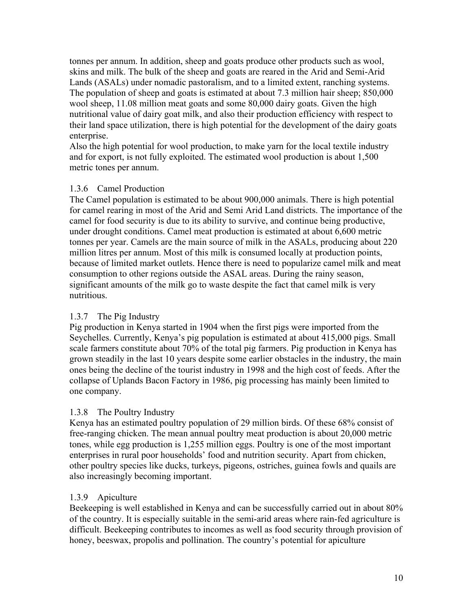tonnes per annum. In addition, sheep and goats produce other products such as wool, skins and milk. The bulk of the sheep and goats are reared in the Arid and Semi-Arid Lands (ASALs) under nomadic pastoralism, and to a limited extent, ranching systems. The population of sheep and goats is estimated at about 7.3 million hair sheep; 850,000 wool sheep, 11.08 million meat goats and some 80,000 dairy goats. Given the high nutritional value of dairy goat milk, and also their production efficiency with respect to their land space utilization, there is high potential for the development of the dairy goats enterprise.

Also the high potential for wool production, to make yarn for the local textile industry and for export, is not fully exploited. The estimated wool production is about 1,500 metric tones per annum.

### 1.3.6 Camel Production

The Camel population is estimated to be about 900,000 animals. There is high potential for camel rearing in most of the Arid and Semi Arid Land districts. The importance of the camel for food security is due to its ability to survive, and continue being productive, under drought conditions. Camel meat production is estimated at about 6,600 metric tonnes per year. Camels are the main source of milk in the ASALs, producing about 220 million litres per annum. Most of this milk is consumed locally at production points, because of limited market outlets. Hence there is need to popularize camel milk and meat consumption to other regions outside the ASAL areas. During the rainy season, significant amounts of the milk go to waste despite the fact that camel milk is very nutritious.

### 1.3.7 The Pig Industry

Pig production in Kenya started in 1904 when the first pigs were imported from the Seychelles. Currently, Kenya's pig population is estimated at about 415,000 pigs. Small scale farmers constitute about 70% of the total pig farmers. Pig production in Kenya has grown steadily in the last 10 years despite some earlier obstacles in the industry, the main ones being the decline of the tourist industry in 1998 and the high cost of feeds. After the collapse of Uplands Bacon Factory in 1986, pig processing has mainly been limited to one company.

### 1.3.8 The Poultry Industry

Kenya has an estimated poultry population of 29 million birds. Of these 68% consist of free-ranging chicken. The mean annual poultry meat production is about 20,000 metric tones, while egg production is 1,255 million eggs. Poultry is one of the most important enterprises in rural poor households' food and nutrition security. Apart from chicken, other poultry species like ducks, turkeys, pigeons, ostriches, guinea fowls and quails are also increasingly becoming important.

### 1.3.9 Apiculture

Beekeeping is well established in Kenya and can be successfully carried out in about 80% of the country. It is especially suitable in the semi-arid areas where rain-fed agriculture is difficult. Beekeeping contributes to incomes as well as food security through provision of honey, beeswax, propolis and pollination. The country's potential for apiculture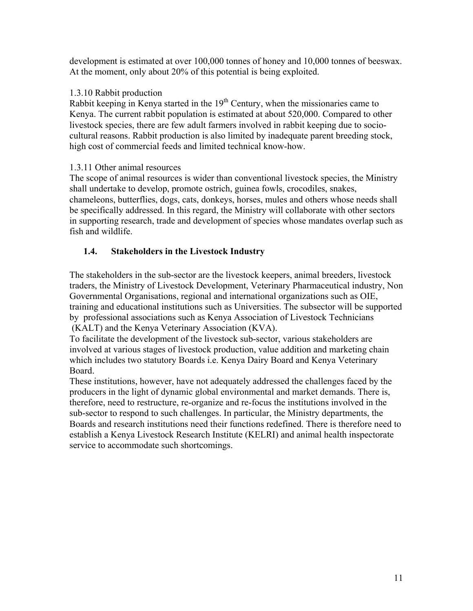development is estimated at over 100,000 tonnes of honey and 10,000 tonnes of beeswax. At the moment, only about 20% of this potential is being exploited.

### 1.3.10 Rabbit production

Rabbit keeping in Kenya started in the 19<sup>th</sup> Century, when the missionaries came to Kenya. The current rabbit population is estimated at about 520,000. Compared to other livestock species, there are few adult farmers involved in rabbit keeping due to sociocultural reasons. Rabbit production is also limited by inadequate parent breeding stock, high cost of commercial feeds and limited technical know-how.

### 1.3.11 Other animal resources

The scope of animal resources is wider than conventional livestock species, the Ministry shall undertake to develop, promote ostrich, guinea fowls, crocodiles, snakes, chameleons, butterflies, dogs, cats, donkeys, horses, mules and others whose needs shall be specifically addressed. In this regard, the Ministry will collaborate with other sectors in supporting research, trade and development of species whose mandates overlap such as fish and wildlife.

### **1.4. Stakeholders in the Livestock Industry**

The stakeholders in the sub-sector are the livestock keepers, animal breeders, livestock traders, the Ministry of Livestock Development, Veterinary Pharmaceutical industry, Non Governmental Organisations, regional and international organizations such as OIE, training and educational institutions such as Universities. The subsector will be supported by professional associations such as Kenya Association of Livestock Technicians (KALT) and the Kenya Veterinary Association (KVA).

To facilitate the development of the livestock sub-sector, various stakeholders are involved at various stages of livestock production, value addition and marketing chain which includes two statutory Boards i.e. Kenya Dairy Board and Kenya Veterinary Board.

These institutions, however, have not adequately addressed the challenges faced by the producers in the light of dynamic global environmental and market demands. There is, therefore, need to restructure, re-organize and re-focus the institutions involved in the sub-sector to respond to such challenges. In particular, the Ministry departments, the Boards and research institutions need their functions redefined. There is therefore need to establish a Kenya Livestock Research Institute (KELRI) and animal health inspectorate service to accommodate such shortcomings.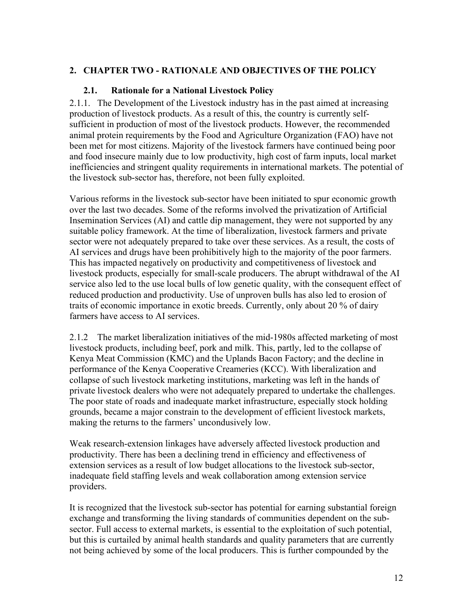### **2. CHAPTER TWO - RATIONALE AND OBJECTIVES OF THE POLICY**

### **2.1. Rationale for a National Livestock Policy**

2.1.1. The Development of the Livestock industry has in the past aimed at increasing production of livestock products. As a result of this, the country is currently selfsufficient in production of most of the livestock products. However, the recommended animal protein requirements by the Food and Agriculture Organization (FAO) have not been met for most citizens. Majority of the livestock farmers have continued being poor and food insecure mainly due to low productivity, high cost of farm inputs, local market inefficiencies and stringent quality requirements in international markets. The potential of the livestock sub-sector has, therefore, not been fully exploited.

Various reforms in the livestock sub-sector have been initiated to spur economic growth over the last two decades. Some of the reforms involved the privatization of Artificial Insemination Services (AI) and cattle dip management, they were not supported by any suitable policy framework. At the time of liberalization, livestock farmers and private sector were not adequately prepared to take over these services. As a result, the costs of AI services and drugs have been prohibitively high to the majority of the poor farmers. This has impacted negatively on productivity and competitiveness of livestock and livestock products, especially for small-scale producers. The abrupt withdrawal of the AI service also led to the use local bulls of low genetic quality, with the consequent effect of reduced production and productivity. Use of unproven bulls has also led to erosion of traits of economic importance in exotic breeds. Currently, only about 20 % of dairy farmers have access to AI services.

2.1.2 The market liberalization initiatives of the mid-1980s affected marketing of most livestock products, including beef, pork and milk. This, partly, led to the collapse of Kenya Meat Commission (KMC) and the Uplands Bacon Factory; and the decline in performance of the Kenya Cooperative Creameries (KCC). With liberalization and collapse of such livestock marketing institutions, marketing was left in the hands of private livestock dealers who were not adequately prepared to undertake the challenges. The poor state of roads and inadequate market infrastructure, especially stock holding grounds, became a major constrain to the development of efficient livestock markets, making the returns to the farmers' uncondusively low.

Weak research-extension linkages have adversely affected livestock production and productivity. There has been a declining trend in efficiency and effectiveness of extension services as a result of low budget allocations to the livestock sub-sector, inadequate field staffing levels and weak collaboration among extension service providers.

It is recognized that the livestock sub-sector has potential for earning substantial foreign exchange and transforming the living standards of communities dependent on the subsector. Full access to external markets, is essential to the exploitation of such potential, but this is curtailed by animal health standards and quality parameters that are currently not being achieved by some of the local producers. This is further compounded by the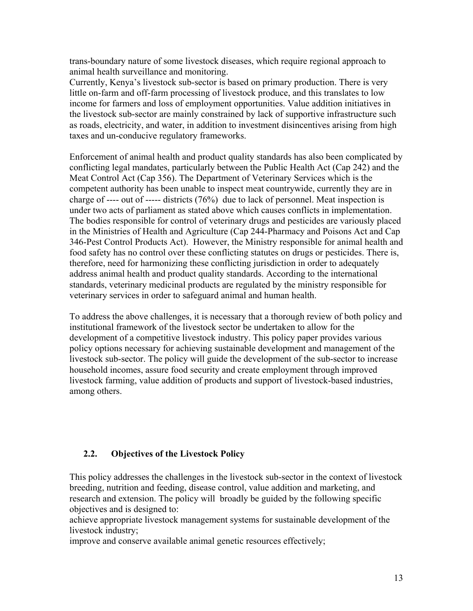trans-boundary nature of some livestock diseases, which require regional approach to animal health surveillance and monitoring.

Currently, Kenya's livestock sub-sector is based on primary production. There is very little on-farm and off-farm processing of livestock produce, and this translates to low income for farmers and loss of employment opportunities. Value addition initiatives in the livestock sub-sector are mainly constrained by lack of supportive infrastructure such as roads, electricity, and water, in addition to investment disincentives arising from high taxes and un-conducive regulatory frameworks.

Enforcement of animal health and product quality standards has also been complicated by conflicting legal mandates, particularly between the Public Health Act (Cap 242) and the Meat Control Act (Cap 356). The Department of Veterinary Services which is the competent authority has been unable to inspect meat countrywide, currently they are in charge of ---- out of ----- districts (76%) due to lack of personnel. Meat inspection is under two acts of parliament as stated above which causes conflicts in implementation. The bodies responsible for control of veterinary drugs and pesticides are variously placed in the Ministries of Health and Agriculture (Cap 244-Pharmacy and Poisons Act and Cap 346-Pest Control Products Act). However, the Ministry responsible for animal health and food safety has no control over these conflicting statutes on drugs or pesticides. There is, therefore, need for harmonizing these conflicting jurisdiction in order to adequately address animal health and product quality standards. According to the international standards, veterinary medicinal products are regulated by the ministry responsible for veterinary services in order to safeguard animal and human health.

To address the above challenges, it is necessary that a thorough review of both policy and institutional framework of the livestock sector be undertaken to allow for the development of a competitive livestock industry. This policy paper provides various policy options necessary for achieving sustainable development and management of the livestock sub-sector. The policy will guide the development of the sub-sector to increase household incomes, assure food security and create employment through improved livestock farming, value addition of products and support of livestock-based industries, among others.

### **2.2. Objectives of the Livestock Policy**

This policy addresses the challenges in the livestock sub-sector in the context of livestock breeding, nutrition and feeding, disease control, value addition and marketing, and research and extension. The policy will broadly be guided by the following specific objectives and is designed to:

achieve appropriate livestock management systems for sustainable development of the livestock industry;

improve and conserve available animal genetic resources effectively;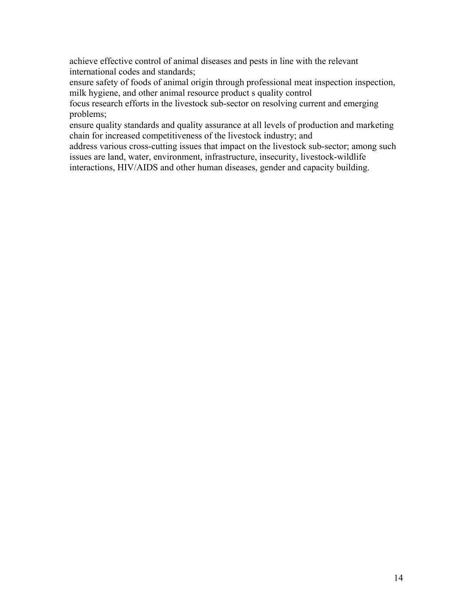achieve effective control of animal diseases and pests in line with the relevant international codes and standards;

ensure safety of foods of animal origin through professional meat inspection inspection, milk hygiene, and other animal resource product s quality control

focus research efforts in the livestock sub-sector on resolving current and emerging problems;

ensure quality standards and quality assurance at all levels of production and marketing chain for increased competitiveness of the livestock industry; and

address various cross-cutting issues that impact on the livestock sub-sector; among such issues are land, water, environment, infrastructure, insecurity, livestock-wildlife interactions, HIV/AIDS and other human diseases, gender and capacity building.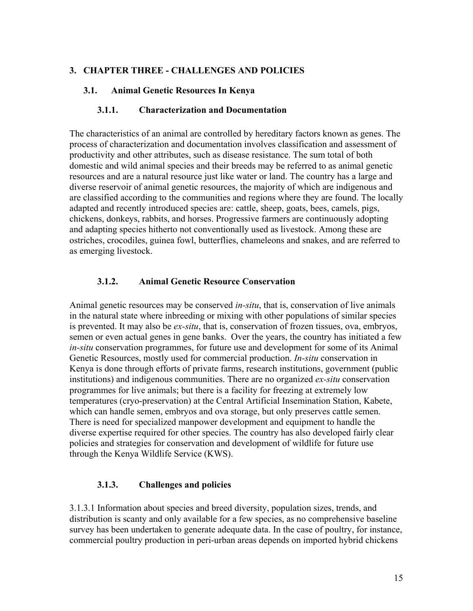### **3. CHAPTER THREE - CHALLENGES AND POLICIES**

### **3.1. Animal Genetic Resources In Kenya**

### **3.1.1. Characterization and Documentation**

The characteristics of an animal are controlled by hereditary factors known as genes. The process of characterization and documentation involves classification and assessment of productivity and other attributes, such as disease resistance. The sum total of both domestic and wild animal species and their breeds may be referred to as animal genetic resources and are a natural resource just like water or land. The country has a large and diverse reservoir of animal genetic resources, the majority of which are indigenous and are classified according to the communities and regions where they are found. The locally adapted and recently introduced species are: cattle, sheep, goats, bees, camels, pigs, chickens, donkeys, rabbits, and horses. Progressive farmers are continuously adopting and adapting species hitherto not conventionally used as livestock. Among these are ostriches, crocodiles, guinea fowl, butterflies, chameleons and snakes, and are referred to as emerging livestock.

### **3.1.2. Animal Genetic Resource Conservation**

Animal genetic resources may be conserved *in-situ*, that is, conservation of live animals in the natural state where inbreeding or mixing with other populations of similar species is prevented. It may also be *ex-situ*, that is, conservation of frozen tissues, ova, embryos, semen or even actual genes in gene banks. Over the years, the country has initiated a few *in-situ* conservation programmes, for future use and development for some of its Animal Genetic Resources, mostly used for commercial production. *In-situ* conservation in Kenya is done through efforts of private farms, research institutions, government (public institutions) and indigenous communities. There are no organized *ex-situ* conservation programmes for live animals; but there is a facility for freezing at extremely low temperatures (cryo-preservation) at the Central Artificial Insemination Station, Kabete, which can handle semen, embryos and ova storage, but only preserves cattle semen. There is need for specialized manpower development and equipment to handle the diverse expertise required for other species. The country has also developed fairly clear policies and strategies for conservation and development of wildlife for future use through the Kenya Wildlife Service (KWS).

### **3.1.3. Challenges and policies**

3.1.3.1 Information about species and breed diversity, population sizes, trends, and distribution is scanty and only available for a few species, as no comprehensive baseline survey has been undertaken to generate adequate data. In the case of poultry, for instance, commercial poultry production in peri-urban areas depends on imported hybrid chickens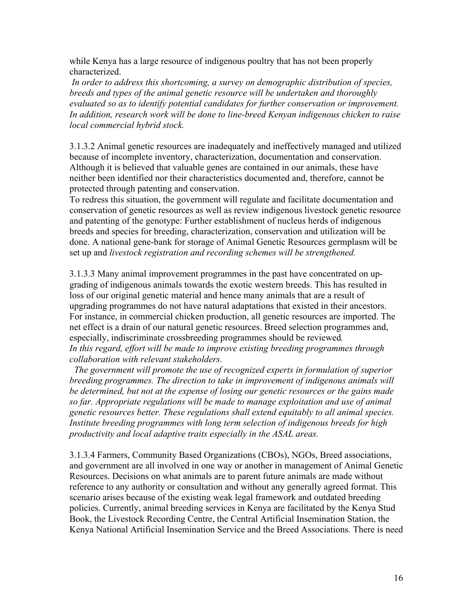while Kenya has a large resource of indigenous poultry that has not been properly characterized.

 *In order to address this shortcoming, a survey on demographic distribution of species, breeds and types of the animal genetic resource will be undertaken and thoroughly evaluated so as to identify potential candidates for further conservation or improvement. In addition, research work will be done to line-breed Kenyan indigenous chicken to raise local commercial hybrid stock.* 

3.1.3.2 Animal genetic resources are inadequately and ineffectively managed and utilized because of incomplete inventory, characterization, documentation and conservation. Although it is believed that valuable genes are contained in our animals, these have neither been identified nor their characteristics documented and, therefore, cannot be protected through patenting and conservation.

To redress this situation, the government will regulate and facilitate documentation and conservation of genetic resources as well as review indigenous livestock genetic resource and patenting of the genotype: Further establishment of nucleus herds of indigenous breeds and species for breeding, characterization, conservation and utilization will be done. A national gene-bank for storage of Animal Genetic Resources germplasm will be set up and *livestock registration and recording schemes will be strengthened.* 

3.1.3.3 Many animal improvement programmes in the past have concentrated on upgrading of indigenous animals towards the exotic western breeds. This has resulted in loss of our original genetic material and hence many animals that are a result of upgrading programmes do not have natural adaptations that existed in their ancestors. For instance, in commercial chicken production, all genetic resources are imported. The net effect is a drain of our natural genetic resources. Breed selection programmes and, especially, indiscriminate crossbreeding programmes should be reviewed*. In this regard, effort will be made to improve existing breeding programmes through collaboration with relevant stakeholders.* 

 *The government will promote the use of recognized experts in formulation of superior breeding programmes. The direction to take in improvement of indigenous animals will be determined, but not at the expense of losing our genetic resources or the gains made so far. Appropriate regulations will be made to manage exploitation and use of animal genetic resources better. These regulations shall extend equitably to all animal species. Institute breeding programmes with long term selection of indigenous breeds for high productivity and local adaptive traits especially in the ASAL areas.* 

3.1.3.4 Farmers, Community Based Organizations (CBOs), NGOs, Breed associations, and government are all involved in one way or another in management of Animal Genetic Resources. Decisions on what animals are to parent future animals are made without reference to any authority or consultation and without any generally agreed format. This scenario arises because of the existing weak legal framework and outdated breeding policies. Currently, animal breeding services in Kenya are facilitated by the Kenya Stud Book, the Livestock Recording Centre, the Central Artificial Insemination Station, the Kenya National Artificial Insemination Service and the Breed Associations*.* There is need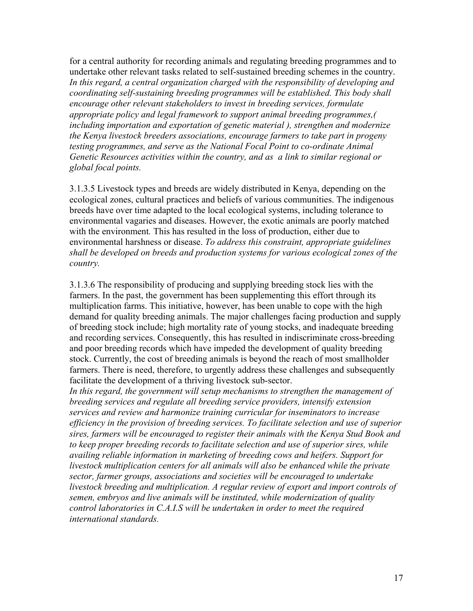for a central authority for recording animals and regulating breeding programmes and to undertake other relevant tasks related to self-sustained breeding schemes in the country. *In this regard, a central organization charged with the responsibility of developing and coordinating self-sustaining breeding programmes will be established. This body shall encourage other relevant stakeholders to invest in breeding services, formulate appropriate policy and legal framework to support animal breeding programmes,( including importation and exportation of genetic material ), strengthen and modernize the Kenya livestock breeders associations, encourage farmers to take part in progeny testing programmes, and serve as the National Focal Point to co-ordinate Animal Genetic Resources activities within the country, and as a link to similar regional or global focal points.* 

3.1.3.5 Livestock types and breeds are widely distributed in Kenya, depending on the ecological zones, cultural practices and beliefs of various communities. The indigenous breeds have over time adapted to the local ecological systems, including tolerance to environmental vagaries and diseases. However, the exotic animals are poorly matched with the environment*.* This has resulted in the loss of production, either due to environmental harshness or disease. *To address this constraint, appropriate guidelines shall be developed on breeds and production systems for various ecological zones of the country.* 

3.1.3.6 The responsibility of producing and supplying breeding stock lies with the farmers. In the past, the government has been supplementing this effort through its multiplication farms. This initiative, however, has been unable to cope with the high demand for quality breeding animals. The major challenges facing production and supply of breeding stock include; high mortality rate of young stocks, and inadequate breeding and recording services. Consequently, this has resulted in indiscriminate cross-breeding and poor breeding records which have impeded the development of quality breeding stock. Currently, the cost of breeding animals is beyond the reach of most smallholder farmers. There is need, therefore, to urgently address these challenges and subsequently facilitate the development of a thriving livestock sub-sector.

In this regard, the government will setup mechanisms to strengthen the management of *breeding services and regulate all breeding service providers, intensify extension services and review and harmonize training curricular for inseminators to increase efficiency in the provision of breeding services. To facilitate selection and use of superior sires, farmers will be encouraged to register their animals with the Kenya Stud Book and to keep proper breeding records to facilitate selection and use of superior sires, while availing reliable information in marketing of breeding cows and heifers. Support for livestock multiplication centers for all animals will also be enhanced while the private sector, farmer groups, associations and societies will be encouraged to undertake livestock breeding and multiplication. A regular review of export and import controls of semen, embryos and live animals will be instituted, while modernization of quality control laboratories in C.A.I.S will be undertaken in order to meet the required international standards.*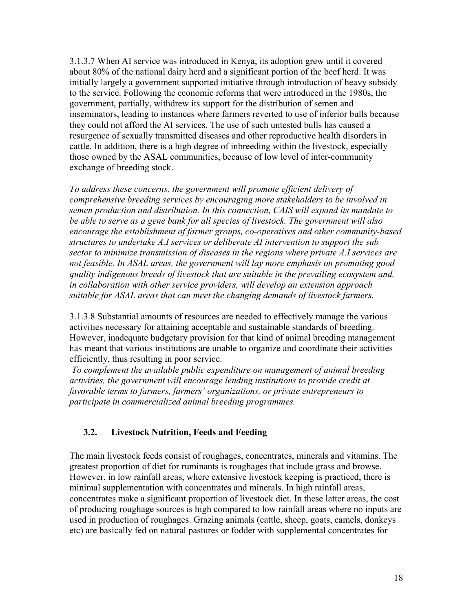3.1.3.7 When AI service was introduced in Kenya, its adoption grew until it covered about 80% of the national dairy herd and a significant portion of the beef herd. It was initially largely a government supported initiative through introduction of heavy subsidy to the service. Following the economic reforms that were introduced in the 1980s, the government, partially, withdrew its support for the distribution of semen and inseminators, leading to instances where farmers reverted to use of inferior bulls because they could not afford the AI services. The use of such untested bulls has caused a resurgence of sexually transmitted diseases and other reproductive health disorders in cattle. In addition, there is a high degree of inbreeding within the livestock, especially those owned by the ASAL communities, because of low level of inter-community exchange of breeding stock.

*To address these concerns, the government will promote efficient delivery of comprehensive breeding services by encouraging more stakeholders to be involved in semen production and distribution. In this connection, CAIS will expand its mandate to be able to serve as a gene bank for all species of livestock. The government will also encourage the establishment of farmer groups, co-operatives and other community-based structures to undertake A.I services or deliberate AI intervention to support the sub sector to minimize transmission of diseases in the regions where private A.I services are not feasible. In ASAL areas, the government will lay more emphasis on promoting good quality indigenous breeds of livestock that are suitable in the prevailing ecosystem and, in collaboration with other service providers, will develop an extension approach suitable for ASAL areas that can meet the changing demands of livestock farmers.*

3.1.3.8 Substantial amounts of resources are needed to effectively manage the various activities necessary for attaining acceptable and sustainable standards of breeding. However, inadequate budgetary provision for that kind of animal breeding management has meant that various institutions are unable to organize and coordinate their activities efficiently, thus resulting in poor service.

 *To complement the available public expenditure on management of animal breeding activities, the government will encourage lending institutions to provide credit at favorable terms to farmers, farmers' organizations, or private entrepreneurs to participate in commercialized animal breeding programmes.* 

### **3.2. Livestock Nutrition, Feeds and Feeding**

The main livestock feeds consist of roughages, concentrates, minerals and vitamins. The greatest proportion of diet for ruminants is roughages that include grass and browse. However, in low rainfall areas, where extensive livestock keeping is practiced, there is minimal supplementation with concentrates and minerals. In high rainfall areas, concentrates make a significant proportion of livestock diet. In these latter areas, the cost of producing roughage sources is high compared to low rainfall areas where no inputs are used in production of roughages. Grazing animals (cattle, sheep, goats, camels, donkeys etc) are basically fed on natural pastures or fodder with supplemental concentrates for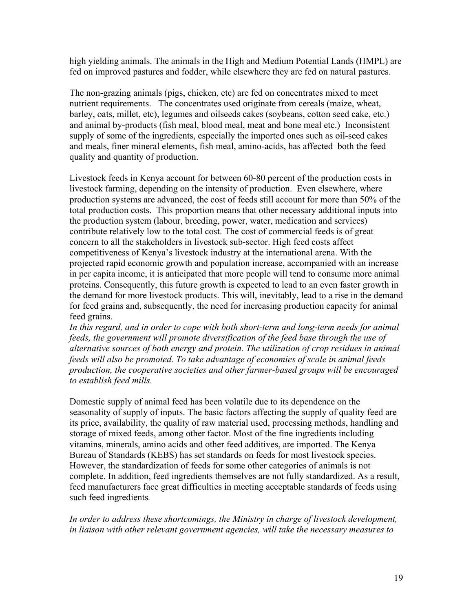high yielding animals. The animals in the High and Medium Potential Lands (HMPL) are fed on improved pastures and fodder, while elsewhere they are fed on natural pastures.

The non-grazing animals (pigs, chicken, etc) are fed on concentrates mixed to meet nutrient requirements. The concentrates used originate from cereals (maize, wheat, barley, oats, millet, etc), legumes and oilseeds cakes (soybeans, cotton seed cake, etc.) and animal by-products (fish meal, blood meal, meat and bone meal etc.) Inconsistent supply of some of the ingredients, especially the imported ones such as oil-seed cakes and meals, finer mineral elements, fish meal, amino-acids, has affected both the feed quality and quantity of production.

Livestock feeds in Kenya account for between 60-80 percent of the production costs in livestock farming, depending on the intensity of production. Even elsewhere, where production systems are advanced, the cost of feeds still account for more than 50% of the total production costs. This proportion means that other necessary additional inputs into the production system (labour, breeding, power, water, medication and services) contribute relatively low to the total cost. The cost of commercial feeds is of great concern to all the stakeholders in livestock sub-sector. High feed costs affect competitiveness of Kenya's livestock industry at the international arena. With the projected rapid economic growth and population increase, accompanied with an increase in per capita income, it is anticipated that more people will tend to consume more animal proteins. Consequently, this future growth is expected to lead to an even faster growth in the demand for more livestock products. This will, inevitably, lead to a rise in the demand for feed grains and, subsequently, the need for increasing production capacity for animal feed grains.

In this regard, and in order to cope with both short-term and long-term needs for animal *feeds, the government will promote diversification of the feed base through the use of alternative sources of both energy and protein. The utilization of crop residues in animal feeds will also be promoted. To take advantage of economies of scale in animal feeds production, the cooperative societies and other farmer-based groups will be encouraged to establish feed mills.* 

Domestic supply of animal feed has been volatile due to its dependence on the seasonality of supply of inputs. The basic factors affecting the supply of quality feed are its price, availability, the quality of raw material used, processing methods, handling and storage of mixed feeds, among other factor. Most of the fine ingredients including vitamins, minerals, amino acids and other feed additives, are imported. The Kenya Bureau of Standards (KEBS) has set standards on feeds for most livestock species. However, the standardization of feeds for some other categories of animals is not complete. In addition, feed ingredients themselves are not fully standardized. As a result, feed manufacturers face great difficulties in meeting acceptable standards of feeds using such feed ingredients*.* 

*In order to address these shortcomings, the Ministry in charge of livestock development, in liaison with other relevant government agencies, will take the necessary measures to*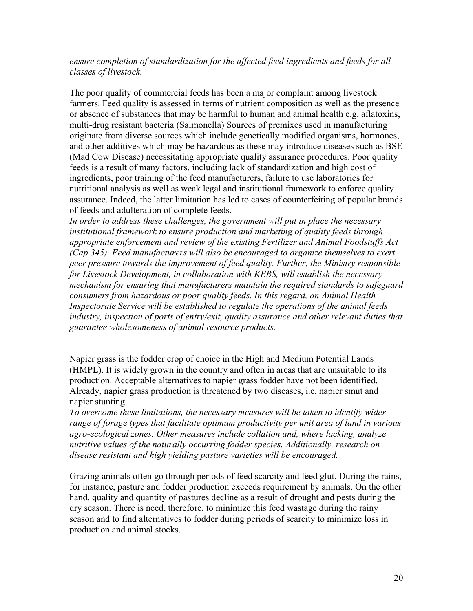*ensure completion of standardization for the affected feed ingredients and feeds for all classes of livestock.* 

The poor quality of commercial feeds has been a major complaint among livestock farmers. Feed quality is assessed in terms of nutrient composition as well as the presence or absence of substances that may be harmful to human and animal health e.g. aflatoxins, multi-drug resistant bacteria (Salmonella) Sources of premixes used in manufacturing originate from diverse sources which include genetically modified organisms, hormones, and other additives which may be hazardous as these may introduce diseases such as BSE (Mad Cow Disease) necessitating appropriate quality assurance procedures. Poor quality feeds is a result of many factors, including lack of standardization and high cost of ingredients, poor training of the feed manufacturers, failure to use laboratories for nutritional analysis as well as weak legal and institutional framework to enforce quality assurance. Indeed, the latter limitation has led to cases of counterfeiting of popular brands of feeds and adulteration of complete feeds.

*In order to address these challenges, the government will put in place the necessary institutional framework to ensure production and marketing of quality feeds through appropriate enforcement and review of the existing Fertilizer and Animal Foodstuffs Act (Cap 345). Feed manufacturers will also be encouraged to organize themselves to exert peer pressure towards the improvement of feed quality. Further, the Ministry responsible for Livestock Development, in collaboration with KEBS, will establish the necessary mechanism for ensuring that manufacturers maintain the required standards to safeguard consumers from hazardous or poor quality feeds. In this regard, an Animal Health Inspectorate Service will be established to regulate the operations of the animal feeds industry, inspection of ports of entry/exit, quality assurance and other relevant duties that guarantee wholesomeness of animal resource products.* 

Napier grass is the fodder crop of choice in the High and Medium Potential Lands (HMPL). It is widely grown in the country and often in areas that are unsuitable to its production. Acceptable alternatives to napier grass fodder have not been identified. Already, napier grass production is threatened by two diseases, i.e. napier smut and napier stunting.

*To overcome these limitations, the necessary measures will be taken to identify wider range of forage types that facilitate optimum productivity per unit area of land in various agro-ecological zones. Other measures include collation and, where lacking, analyze nutritive values of the naturally occurring fodder species. Additionally, research on disease resistant and high yielding pasture varieties will be encouraged.* 

Grazing animals often go through periods of feed scarcity and feed glut. During the rains, for instance, pasture and fodder production exceeds requirement by animals. On the other hand, quality and quantity of pastures decline as a result of drought and pests during the dry season. There is need, therefore, to minimize this feed wastage during the rainy season and to find alternatives to fodder during periods of scarcity to minimize loss in production and animal stocks.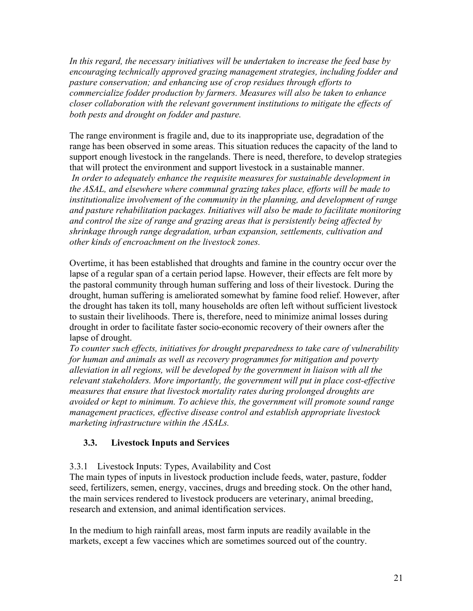*In this regard, the necessary initiatives will be undertaken to increase the feed base by encouraging technically approved grazing management strategies, including fodder and pasture conservation; and enhancing use of crop residues through efforts to commercialize fodder production by farmers. Measures will also be taken to enhance closer collaboration with the relevant government institutions to mitigate the effects of both pests and drought on fodder and pasture.* 

The range environment is fragile and, due to its inappropriate use, degradation of the range has been observed in some areas. This situation reduces the capacity of the land to support enough livestock in the rangelands. There is need, therefore, to develop strategies that will protect the environment and support livestock in a sustainable manner.  *In order to adequately enhance the requisite measures for sustainable development in the ASAL, and elsewhere where communal grazing takes place, efforts will be made to institutionalize involvement of the community in the planning, and development of range and pasture rehabilitation packages. Initiatives will also be made to facilitate monitoring and control the size of range and grazing areas that is persistently being affected by shrinkage through range degradation, urban expansion, settlements, cultivation and other kinds of encroachment on the livestock zones.*

Overtime, it has been established that droughts and famine in the country occur over the lapse of a regular span of a certain period lapse. However, their effects are felt more by the pastoral community through human suffering and loss of their livestock. During the drought, human suffering is ameliorated somewhat by famine food relief. However, after the drought has taken its toll, many households are often left without sufficient livestock to sustain their livelihoods. There is, therefore, need to minimize animal losses during drought in order to facilitate faster socio-economic recovery of their owners after the lapse of drought.

*To counter such effects, initiatives for drought preparedness to take care of vulnerability for human and animals as well as recovery programmes for mitigation and poverty alleviation in all regions, will be developed by the government in liaison with all the relevant stakeholders. More importantly, the government will put in place cost-effective measures that ensure that livestock mortality rates during prolonged droughts are avoided or kept to minimum. To achieve this, the government will promote sound range management practices, effective disease control and establish appropriate livestock marketing infrastructure within the ASALs.* 

### **3.3. Livestock Inputs and Services**

### 3.3.1 Livestock Inputs: Types, Availability and Cost

The main types of inputs in livestock production include feeds, water, pasture, fodder seed, fertilizers, semen, energy, vaccines, drugs and breeding stock. On the other hand, the main services rendered to livestock producers are veterinary, animal breeding, research and extension, and animal identification services.

In the medium to high rainfall areas, most farm inputs are readily available in the markets, except a few vaccines which are sometimes sourced out of the country.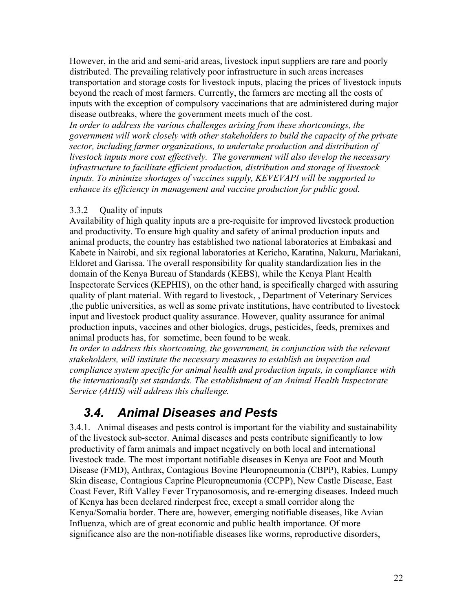However, in the arid and semi-arid areas, livestock input suppliers are rare and poorly distributed. The prevailing relatively poor infrastructure in such areas increases transportation and storage costs for livestock inputs, placing the prices of livestock inputs beyond the reach of most farmers. Currently, the farmers are meeting all the costs of inputs with the exception of compulsory vaccinations that are administered during major disease outbreaks, where the government meets much of the cost.

*In order to address the various challenges arising from these shortcomings, the government will work closely with other stakeholders to build the capacity of the private sector, including farmer organizations, to undertake production and distribution of livestock inputs more cost effectively. The government will also develop the necessary infrastructure to facilitate efficient production, distribution and storage of livestock inputs. To minimize shortages of vaccines supply, KEVEVAPI will be supported to enhance its efficiency in management and vaccine production for public good.* 

### 3.3.2 Quality of inputs

Availability of high quality inputs are a pre-requisite for improved livestock production and productivity. To ensure high quality and safety of animal production inputs and animal products, the country has established two national laboratories at Embakasi and Kabete in Nairobi, and six regional laboratories at Kericho, Karatina, Nakuru, Mariakani, Eldoret and Garissa. The overall responsibility for quality standardization lies in the domain of the Kenya Bureau of Standards (KEBS), while the Kenya Plant Health Inspectorate Services (KEPHIS), on the other hand, is specifically charged with assuring quality of plant material. With regard to livestock, , Department of Veterinary Services ,the public universities, as well as some private institutions, have contributed to livestock input and livestock product quality assurance. However, quality assurance for animal production inputs, vaccines and other biologics, drugs, pesticides, feeds, premixes and animal products has, for sometime, been found to be weak.

In order to address this shortcoming, the government, in conjunction with the relevant *stakeholders, will institute the necessary measures to establish an inspection and compliance system specific for animal health and production inputs, in compliance with the internationally set standards. The establishment of an Animal Health Inspectorate Service (AHIS) will address this challenge.* 

### *3.4. Animal Diseases and Pests*

3.4.1. Animal diseases and pests control is important for the viability and sustainability of the livestock sub-sector. Animal diseases and pests contribute significantly to low productivity of farm animals and impact negatively on both local and international livestock trade. The most important notifiable diseases in Kenya are Foot and Mouth Disease (FMD), Anthrax, Contagious Bovine Pleuropneumonia (CBPP), Rabies, Lumpy Skin disease, Contagious Caprine Pleuropneumonia (CCPP), New Castle Disease, East Coast Fever, Rift Valley Fever Trypanosomosis, and re-emerging diseases. Indeed much of Kenya has been declared rinderpest free, except a small corridor along the Kenya/Somalia border. There are, however, emerging notifiable diseases, like Avian Influenza, which are of great economic and public health importance. Of more significance also are the non-notifiable diseases like worms, reproductive disorders,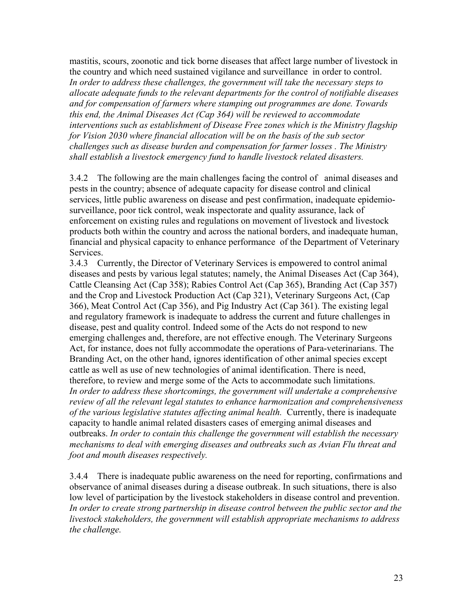mastitis, scours, zoonotic and tick borne diseases that affect large number of livestock in the country and which need sustained vigilance and surveillance in order to control. *In order to address these challenges, the government will take the necessary steps to allocate adequate funds to the relevant departments for the control of notifiable diseases and for compensation of farmers where stamping out programmes are done. Towards this end, the Animal Diseases Act (Cap 364) will be reviewed to accommodate interventions such as establishment of Disease Free zones which is the Ministry flagship for Vision 2030 where financial allocation will be on the basis of the sub sector challenges such as disease burden and compensation for farmer losses . The Ministry shall establish a livestock emergency fund to handle livestock related disasters.* 

3.4.2 The following are the main challenges facing the control of animal diseases and pests in the country; absence of adequate capacity for disease control and clinical services, little public awareness on disease and pest confirmation, inadequate epidemiosurveillance, poor tick control, weak inspectorate and quality assurance, lack of enforcement on existing rules and regulations on movement of livestock and livestock products both within the country and across the national borders, and inadequate human, financial and physical capacity to enhance performance of the Department of Veterinary Services.

3.4.3 Currently, the Director of Veterinary Services is empowered to control animal diseases and pests by various legal statutes; namely, the Animal Diseases Act (Cap 364), Cattle Cleansing Act (Cap 358); Rabies Control Act (Cap 365), Branding Act (Cap 357) and the Crop and Livestock Production Act (Cap 321), Veterinary Surgeons Act, (Cap 366), Meat Control Act (Cap 356), and Pig Industry Act (Cap 361). The existing legal and regulatory framework is inadequate to address the current and future challenges in disease, pest and quality control. Indeed some of the Acts do not respond to new emerging challenges and, therefore, are not effective enough. The Veterinary Surgeons Act, for instance, does not fully accommodate the operations of Para-veterinarians. The Branding Act, on the other hand, ignores identification of other animal species except cattle as well as use of new technologies of animal identification. There is need, therefore, to review and merge some of the Acts to accommodate such limitations. *In order to address these shortcomings, the government will undertake a comprehensive review of all the relevant legal statutes to enhance harmonization and comprehensiveness of the various legislative statutes affecting animal health.* Currently, there is inadequate capacity to handle animal related disasters cases of emerging animal diseases and outbreaks. *In order to contain this challenge the government will establish the necessary mechanisms to deal with emerging diseases and outbreaks such as Avian Flu threat and foot and mouth diseases respectively.* 

3.4.4 There is inadequate public awareness on the need for reporting, confirmations and observance of animal diseases during a disease outbreak. In such situations, there is also low level of participation by the livestock stakeholders in disease control and prevention. In order to create strong partnership in disease control between the public sector and the *livestock stakeholders, the government will establish appropriate mechanisms to address the challenge.*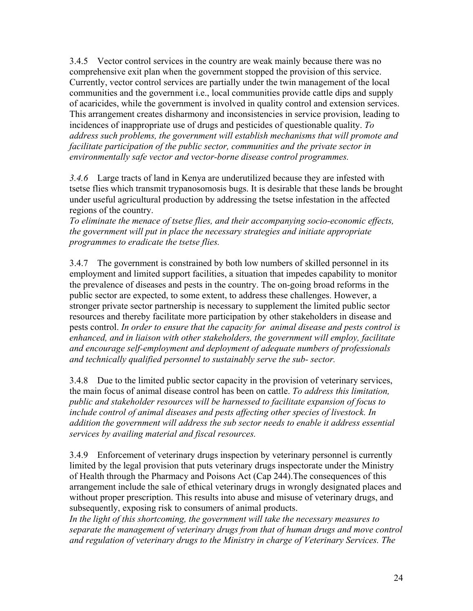3.4.5 Vector control services in the country are weak mainly because there was no comprehensive exit plan when the government stopped the provision of this service. Currently, vector control services are partially under the twin management of the local communities and the government i.e., local communities provide cattle dips and supply of acaricides, while the government is involved in quality control and extension services. This arrangement creates disharmony and inconsistencies in service provision, leading to incidences of inappropriate use of drugs and pesticides of questionable quality. *To address such problems, the government will establish mechanisms that will promote and facilitate participation of the public sector, communities and the private sector in environmentally safe vector and vector-borne disease control programmes.* 

*3.4.6* Large tracts of land in Kenya are underutilized because they are infested with tsetse flies which transmit trypanosomosis bugs. It is desirable that these lands be brought under useful agricultural production by addressing the tsetse infestation in the affected regions of the country.

*To eliminate the menace of tsetse flies, and their accompanying socio-economic effects, the government will put in place the necessary strategies and initiate appropriate programmes to eradicate the tsetse flies.* 

3.4.7 The government is constrained by both low numbers of skilled personnel in its employment and limited support facilities, a situation that impedes capability to monitor the prevalence of diseases and pests in the country. The on-going broad reforms in the public sector are expected, to some extent, to address these challenges. However, a stronger private sector partnership is necessary to supplement the limited public sector resources and thereby facilitate more participation by other stakeholders in disease and pests control. *In order to ensure that the capacity for animal disease and pests control is enhanced, and in liaison with other stakeholders, the government will employ, facilitate and encourage self-employment and deployment of adequate numbers of professionals and technically qualified personnel to sustainably serve the sub- sector.* 

3.4.8 Due to the limited public sector capacity in the provision of veterinary services, the main focus of animal disease control has been on cattle. *To address this limitation, public and stakeholder resources will be harnessed to facilitate expansion of focus to include control of animal diseases and pests affecting other species of livestock. In addition the government will address the sub sector needs to enable it address essential services by availing material and fiscal resources.* 

3.4.9 Enforcement of veterinary drugs inspection by veterinary personnel is currently limited by the legal provision that puts veterinary drugs inspectorate under the Ministry of Health through the Pharmacy and Poisons Act (Cap 244).The consequences of this arrangement include the sale of ethical veterinary drugs in wrongly designated places and without proper prescription. This results into abuse and misuse of veterinary drugs, and subsequently, exposing risk to consumers of animal products.

*In the light of this shortcoming, the government will take the necessary measures to separate the management of veterinary drugs from that of human drugs and move control and regulation of veterinary drugs to the Ministry in charge of Veterinary Services. The*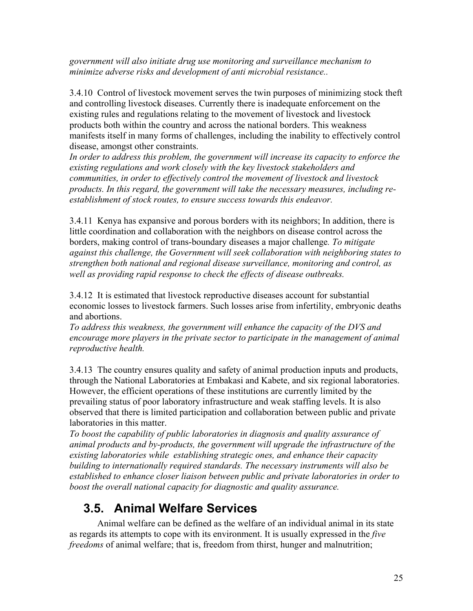*government will also initiate drug use monitoring and surveillance mechanism to minimize adverse risks and development of anti microbial resistance..* 

3.4.10 Control of livestock movement serves the twin purposes of minimizing stock theft and controlling livestock diseases. Currently there is inadequate enforcement on the existing rules and regulations relating to the movement of livestock and livestock products both within the country and across the national borders. This weakness manifests itself in many forms of challenges, including the inability to effectively control disease, amongst other constraints.

*In order to address this problem, the government will increase its capacity to enforce the existing regulations and work closely with the key livestock stakeholders and communities, in order to effectively control the movement of livestock and livestock products. In this regard, the government will take the necessary measures, including reestablishment of stock routes, to ensure success towards this endeavor.* 

3.4.11 Kenya has expansive and porous borders with its neighbors; In addition, there is little coordination and collaboration with the neighbors on disease control across the borders, making control of trans-boundary diseases a major challenge*. To mitigate against this challenge, the Government will seek collaboration with neighboring states to strengthen both national and regional disease surveillance, monitoring and control, as well as providing rapid response to check the effects of disease outbreaks.*

3.4.12 It is estimated that livestock reproductive diseases account for substantial economic losses to livestock farmers. Such losses arise from infertility, embryonic deaths and abortions.

*To address this weakness, the government will enhance the capacity of the DVS and encourage more players in the private sector to participate in the management of animal reproductive health.* 

3.4.13 The country ensures quality and safety of animal production inputs and products, through the National Laboratories at Embakasi and Kabete, and six regional laboratories. However, the efficient operations of these institutions are currently limited by the prevailing status of poor laboratory infrastructure and weak staffing levels. It is also observed that there is limited participation and collaboration between public and private laboratories in this matter.

*To boost the capability of public laboratories in diagnosis and quality assurance of animal products and by-products, the government will upgrade the infrastructure of the existing laboratories while establishing strategic ones, and enhance their capacity building to internationally required standards. The necessary instruments will also be established to enhance closer liaison between public and private laboratories in order to boost the overall national capacity for diagnostic and quality assurance.*

# **3.5. Animal Welfare Services**

 Animal welfare can be defined as the welfare of an individual animal in its state as regards its attempts to cope with its environment. It is usually expressed in the *five freedoms* of animal welfare; that is, freedom from thirst, hunger and malnutrition;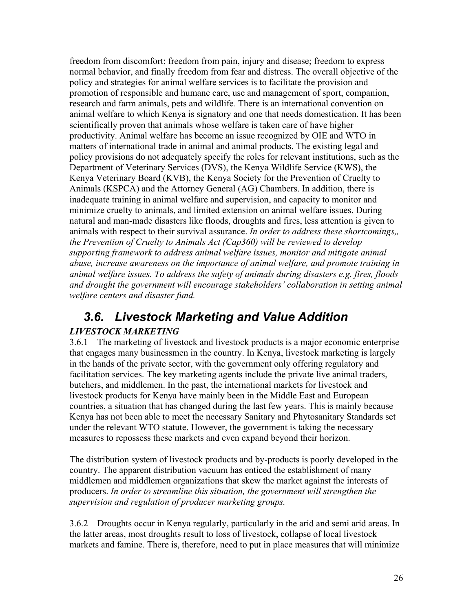freedom from discomfort; freedom from pain, injury and disease; freedom to express normal behavior, and finally freedom from fear and distress. The overall objective of the policy and strategies for animal welfare services is to facilitate the provision and promotion of responsible and humane care, use and management of sport, companion, research and farm animals, pets and wildlife*.* There is an international convention on animal welfare to which Kenya is signatory and one that needs domestication. It has been scientifically proven that animals whose welfare is taken care of have higher productivity. Animal welfare has become an issue recognized by OIE and WTO in matters of international trade in animal and animal products. The existing legal and policy provisions do not adequately specify the roles for relevant institutions, such as the Department of Veterinary Services (DVS), the Kenya Wildlife Service (KWS), the Kenya Veterinary Board (KVB), the Kenya Society for the Prevention of Cruelty to Animals (KSPCA) and the Attorney General (AG) Chambers. In addition, there is inadequate training in animal welfare and supervision, and capacity to monitor and minimize cruelty to animals, and limited extension on animal welfare issues. During natural and man-made disasters like floods, droughts and fires, less attention is given to animals with respect to their survival assurance. *In order to address these shortcomings,, the Prevention of Cruelty to Animals Act (Cap360) will be reviewed to develop supporting framework to address animal welfare issues, monitor and mitigate animal abuse, increase awareness on the importance of animal welfare, and promote training in animal welfare issues. To address the safety of animals during disasters e.g. fires, floods and drought the government will encourage stakeholders' collaboration in setting animal welfare centers and disaster fund.* 

## *3.6. Livestock Marketing and Value Addition*

### *LIVESTOCK MARKETING*

3.6.1 The marketing of livestock and livestock products is a major economic enterprise that engages many businessmen in the country. In Kenya, livestock marketing is largely in the hands of the private sector, with the government only offering regulatory and facilitation services. The key marketing agents include the private live animal traders, butchers, and middlemen. In the past, the international markets for livestock and livestock products for Kenya have mainly been in the Middle East and European countries, a situation that has changed during the last few years. This is mainly because Kenya has not been able to meet the necessary Sanitary and Phytosanitary Standards set under the relevant WTO statute. However, the government is taking the necessary measures to repossess these markets and even expand beyond their horizon.

The distribution system of livestock products and by-products is poorly developed in the country. The apparent distribution vacuum has enticed the establishment of many middlemen and middlemen organizations that skew the market against the interests of producers. *In order to streamline this situation, the government will strengthen the supervision and regulation of producer marketing groups.* 

3.6.2 Droughts occur in Kenya regularly, particularly in the arid and semi arid areas. In the latter areas, most droughts result to loss of livestock, collapse of local livestock markets and famine. There is, therefore, need to put in place measures that will minimize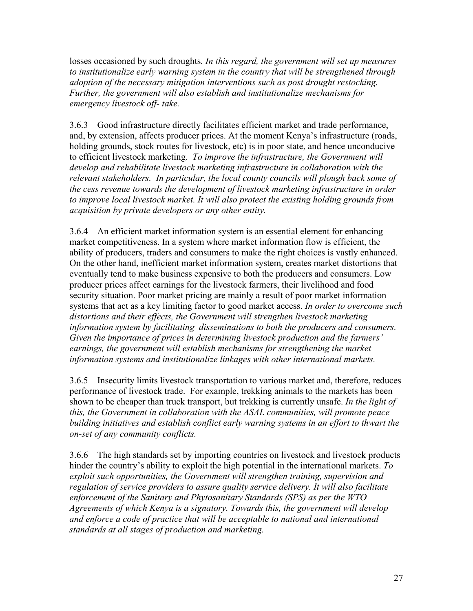losses occasioned by such droughts*. In this regard, the government will set up measures to institutionalize early warning system in the country that will be strengthened through adoption of the necessary mitigation interventions such as post drought restocking. Further, the government will also establish and institutionalize mechanisms for emergency livestock off- take.*

3.6.3 Good infrastructure directly facilitates efficient market and trade performance, and, by extension, affects producer prices. At the moment Kenya's infrastructure (roads, holding grounds, stock routes for livestock, etc) is in poor state, and hence unconducive to efficient livestock marketing. *To improve the infrastructure, the Government will develop and rehabilitate livestock marketing infrastructure in collaboration with the relevant stakeholders. In particular, the local county councils will plough back some of the cess revenue towards the development of livestock marketing infrastructure in order to improve local livestock market. It will also protect the existing holding grounds from acquisition by private developers or any other entity.*

3.6.4 An efficient market information system is an essential element for enhancing market competitiveness. In a system where market information flow is efficient, the ability of producers, traders and consumers to make the right choices is vastly enhanced. On the other hand, inefficient market information system, creates market distortions that eventually tend to make business expensive to both the producers and consumers. Low producer prices affect earnings for the livestock farmers, their livelihood and food security situation. Poor market pricing are mainly a result of poor market information systems that act as a key limiting factor to good market access. *In order to overcome such distortions and their effects, the Government will strengthen livestock marketing information system by facilitating disseminations to both the producers and consumers. Given the importance of prices in determining livestock production and the farmers' earnings, the government will establish mechanisms for strengthening the market information systems and institutionalize linkages with other international markets.*

3.6.5 Insecurity limits livestock transportation to various market and, therefore, reduces performance of livestock trade.For example, trekking animals to the markets has been shown to be cheaper than truck transport, but trekking is currently unsafe. *In the light of this, the Government in collaboration with the ASAL communities, will promote peace building initiatives and establish conflict early warning systems in an effort to thwart the on-set of any community conflicts.*

3.6.6 The high standards set by importing countries on livestock and livestock products hinder the country's ability to exploit the high potential in the international markets. *To exploit such opportunities, the Government will strengthen training, supervision and regulation of service providers to assure quality service delivery. It will also facilitate enforcement of the Sanitary and Phytosanitary Standards (SPS) as per the WTO Agreements of which Kenya is a signatory. Towards this, the government will develop and enforce a code of practice that will be acceptable to national and international standards at all stages of production and marketing.*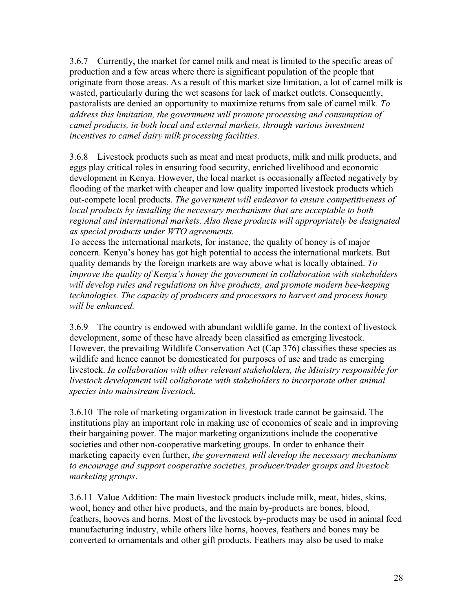3.6.7 Currently, the market for camel milk and meat is limited to the specific areas of production and a few areas where there is significant population of the people that originate from those areas. As a result of this market size limitation, a lot of camel milk is wasted, particularly during the wet seasons for lack of market outlets. Consequently, pastoralists are denied an opportunity to maximize returns from sale of camel milk. *To address this limitation, the government will promote processing and consumption of camel products, in both local and external markets, through various investment incentives to camel dairy milk processing facilities.* 

3.6.8 Livestock products such as meat and meat products, milk and milk products, and eggs play critical roles in ensuring food security, enriched livelihood and economic development in Kenya. However, the local market is occasionally affected negatively by flooding of the market with cheaper and low quality imported livestock products which out-compete local products. *The government will endeavor to ensure competitiveness of local products by installing the necessary mechanisms that are acceptable to both regional and international markets. Also these products will appropriately be designated as special products under WTO agreements.*

To access the international markets, for instance, the quality of honey is of major concern. Kenya's honey has got high potential to access the international markets. But quality demands by the foreign markets are way above what is locally obtained. *To improve the quality of Kenya's honey the government in collaboration with stakeholders will develop rules and regulations on hive products, and promote modern bee-keeping technologies. The capacity of producers and processors to harvest and process honey will be enhanced.*

3.6.9 The country is endowed with abundant wildlife game. In the context of livestock development, some of these have already been classified as emerging livestock. However, the prevailing Wildlife Conservation Act (Cap 376) classifies these species as wildlife and hence cannot be domesticated for purposes of use and trade as emerging livestock. *In collaboration with other relevant stakeholders, the Ministry responsible for livestock development will collaborate with stakeholders to incorporate other animal species into mainstream livestock.* 

3.6.10 The role of marketing organization in livestock trade cannot be gainsaid. The institutions play an important role in making use of economies of scale and in improving their bargaining power. The major marketing organizations include the cooperative societies and other non-cooperative marketing groups. In order to enhance their marketing capacity even further, *the government will develop the necessary mechanisms to encourage and support cooperative societies, producer/trader groups and livestock marketing groups*.

3.6.11 Value Addition: The main livestock products include milk, meat, hides, skins, wool, honey and other hive products, and the main by-products are bones, blood, feathers, hooves and horns. Most of the livestock by-products may be used in animal feed manufacturing industry, while others like horns, hooves, feathers and bones may be converted to ornamentals and other gift products. Feathers may also be used to make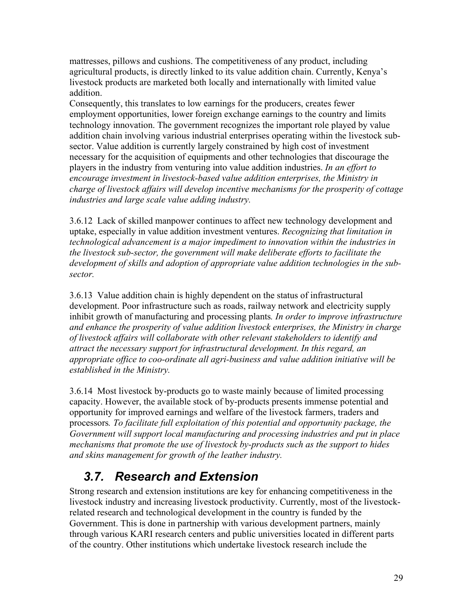mattresses, pillows and cushions. The competitiveness of any product, including agricultural products, is directly linked to its value addition chain. Currently, Kenya's livestock products are marketed both locally and internationally with limited value addition.

Consequently, this translates to low earnings for the producers, creates fewer employment opportunities, lower foreign exchange earnings to the country and limits technology innovation. The government recognizes the important role played by value addition chain involving various industrial enterprises operating within the livestock subsector. Value addition is currently largely constrained by high cost of investment necessary for the acquisition of equipments and other technologies that discourage the players in the industry from venturing into value addition industries. *In an effort to encourage investment in livestock-based value addition enterprises, the Ministry in charge of livestock affairs will develop incentive mechanisms for the prosperity of cottage industries and large scale value adding industry.*

3.6.12 Lack of skilled manpower continues to affect new technology development and uptake, especially in value addition investment ventures. *Recognizing that limitation in technological advancement is a major impediment to innovation within the industries in the livestock sub-sector, the government will make deliberate efforts to facilitate the development of skills and adoption of appropriate value addition technologies in the subsector.*

3.6.13 Value addition chain is highly dependent on the status of infrastructural development. Poor infrastructure such as roads, railway network and electricity supply inhibit growth of manufacturing and processing plants*. In order to improve infrastructure and enhance the prosperity of value addition livestock enterprises, the Ministry in charge of livestock affairs will* c*ollaborate with other relevant stakeholders to identify and attract the necessary support for infrastructural development. In this regard, an appropriate office to coo-ordinate all agri-business and value addition initiative will be established in the Ministry.*

3.6.14 Most livestock by-products go to waste mainly because of limited processing capacity. However, the available stock of by-products presents immense potential and opportunity for improved earnings and welfare of the livestock farmers, traders and processors*. To facilitate full exploitation of this potential and opportunity package, the Government will support local manufacturing and processing industries and put in place mechanisms that promote the use of livestock by-products such as the support to hides and skins management for growth of the leather industry.*

## *3.7. Research and Extension*

Strong research and extension institutions are key for enhancing competitiveness in the livestock industry and increasing livestock productivity. Currently, most of the livestockrelated research and technological development in the country is funded by the Government. This is done in partnership with various development partners, mainly through various KARI research centers and public universities located in different parts of the country. Other institutions which undertake livestock research include the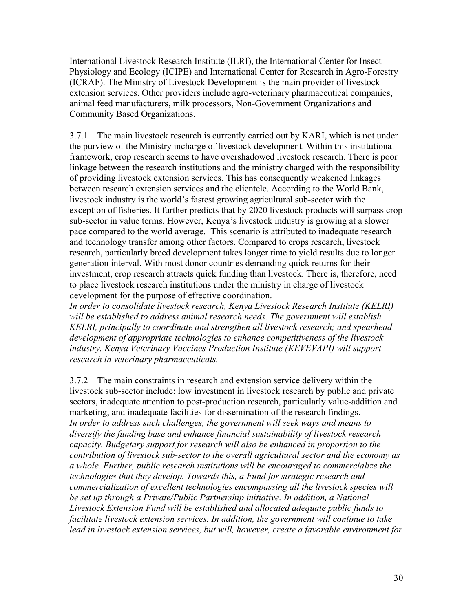International Livestock Research Institute (ILRI), the International Center for Insect Physiology and Ecology (ICIPE) and International Center for Research in Agro-Forestry (ICRAF). The Ministry of Livestock Development is the main provider of livestock extension services. Other providers include agro-veterinary pharmaceutical companies, animal feed manufacturers, milk processors, Non-Government Organizations and Community Based Organizations.

3.7.1 The main livestock research is currently carried out by KARI, which is not under the purview of the Ministry incharge of livestock development. Within this institutional framework, crop research seems to have overshadowed livestock research. There is poor linkage between the research institutions and the ministry charged with the responsibility of providing livestock extension services. This has consequently weakened linkages between research extension services and the clientele. According to the World Bank, livestock industry is the world's fastest growing agricultural sub-sector with the exception of fisheries. It further predicts that by 2020 livestock products will surpass crop sub-sector in value terms. However, Kenya's livestock industry is growing at a slower pace compared to the world average. This scenario is attributed to inadequate research and technology transfer among other factors. Compared to crops research, livestock research, particularly breed development takes longer time to yield results due to longer generation interval. With most donor countries demanding quick returns for their investment, crop research attracts quick funding than livestock. There is, therefore, need to place livestock research institutions under the ministry in charge of livestock development for the purpose of effective coordination.

*In order to consolidate livestock research, Kenya Livestock Research Institute (KELRI) will be established to address animal research needs. The government will establish KELRI, principally to coordinate and strengthen all livestock research; and spearhead development of appropriate technologies to enhance competitiveness of the livestock industry. Kenya Veterinary Vaccines Production Institute (KEVEVAPI) will support research in veterinary pharmaceuticals.* 

3.7.2 The main constraints in research and extension service delivery within the livestock sub-sector include: low investment in livestock research by public and private sectors, inadequate attention to post-production research, particularly value-addition and marketing, and inadequate facilities for dissemination of the research findings. *In order to address such challenges, the government will seek ways and means to diversify the funding base and enhance financial sustainability of livestock research capacity. Budgetary support for research will also be enhanced in proportion to the contribution of livestock sub-sector to the overall agricultural sector and the economy as a whole. Further, public research institutions will be encouraged to commercialize the technologies that they develop. Towards this, a Fund for strategic research and commercialization of excellent technologies encompassing all the livestock species will be set up through a Private/Public Partnership initiative. In addition, a National Livestock Extension Fund will be established and allocated adequate public funds to facilitate livestock extension services. In addition, the government will continue to take lead in livestock extension services, but will, however, create a favorable environment for*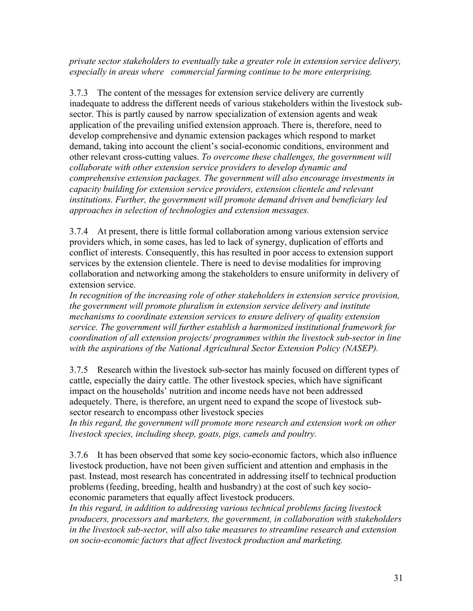*private sector stakeholders to eventually take a greater role in extension service delivery, especially in areas where commercial farming continue to be more enterprising.* 

3.7.3 The content of the messages for extension service delivery are currently inadequate to address the different needs of various stakeholders within the livestock subsector. This is partly caused by narrow specialization of extension agents and weak application of the prevailing unified extension approach. There is, therefore, need to develop comprehensive and dynamic extension packages which respond to market demand, taking into account the client's social-economic conditions, environment and other relevant cross-cutting values. *To overcome these challenges, the government will collaborate with other extension service providers to develop dynamic and comprehensive extension packages. The government will also encourage investments in capacity building for extension service providers, extension clientele and relevant institutions. Further, the government will promote demand driven and beneficiary led approaches in selection of technologies and extension messages.* 

3.7.4 At present, there is little formal collaboration among various extension service providers which, in some cases, has led to lack of synergy, duplication of efforts and conflict of interests. Consequently, this has resulted in poor access to extension support services by the extension clientele. There is need to devise modalities for improving collaboration and networking among the stakeholders to ensure uniformity in delivery of extension service.

*In recognition of the increasing role of other stakeholders in extension service provision, the government will promote pluralism in extension service delivery and institute mechanisms to coordinate extension services to ensure delivery of quality extension service. The government will further establish a harmonized institutional framework for coordination of all extension projects/ programmes within the livestock sub-sector in line with the aspirations of the National Agricultural Sector Extension Policy (NASEP).* 

3.7.5 Research within the livestock sub-sector has mainly focused on different types of cattle, especially the dairy cattle. The other livestock species, which have significant impact on the households' nutrition and income needs have not been addressed adequetely. There, is therefore, an urgent need to expand the scope of livestock subsector research to encompass other livestock species

*In this regard, the government will promote more research and extension work on other livestock species, including sheep, goats, pigs, camels and poultry.* 

3.7.6 It has been observed that some key socio-economic factors, which also influence livestock production, have not been given sufficient and attention and emphasis in the past. Instead, most research has concentrated in addressing itself to technical production problems (feeding, breeding, health and husbandry) at the cost of such key socioeconomic parameters that equally affect livestock producers.

*In this regard, in addition to addressing various technical problems facing livestock producers, processors and marketers, the government, in collaboration with stakeholders in the livestock sub-sector, will also take measures to streamline research and extension on socio-economic factors that affect livestock production and marketing.*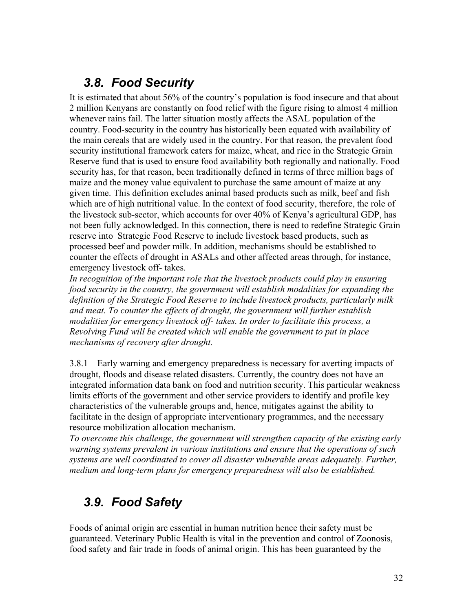## *3.8. Food Security*

It is estimated that about 56% of the country's population is food insecure and that about 2 million Kenyans are constantly on food relief with the figure rising to almost 4 million whenever rains fail. The latter situation mostly affects the ASAL population of the country. Food-security in the country has historically been equated with availability of the main cereals that are widely used in the country. For that reason, the prevalent food security institutional framework caters for maize, wheat, and rice in the Strategic Grain Reserve fund that is used to ensure food availability both regionally and nationally. Food security has, for that reason, been traditionally defined in terms of three million bags of maize and the money value equivalent to purchase the same amount of maize at any given time. This definition excludes animal based products such as milk, beef and fish which are of high nutritional value. In the context of food security, therefore, the role of the livestock sub-sector, which accounts for over 40% of Kenya's agricultural GDP, has not been fully acknowledged. In this connection, there is need to redefine Strategic Grain reserve into Strategic Food Reserve to include livestock based products, such as processed beef and powder milk. In addition, mechanisms should be established to counter the effects of drought in ASALs and other affected areas through, for instance, emergency livestock off- takes.

*In recognition of the important role that the livestock products could play in ensuring food security in the country, the government will establish modalities for expanding the definition of the Strategic Food Reserve to include livestock products, particularly milk and meat. To counter the effects of drought, the government will further establish modalities for emergency livestock off- takes. In order to facilitate this process, a Revolving Fund will be created which will enable the government to put in place mechanisms of recovery after drought.* 

3.8.1 Early warning and emergency preparedness is necessary for averting impacts of drought, floods and disease related disasters. Currently, the country does not have an integrated information data bank on food and nutrition security. This particular weakness limits efforts of the government and other service providers to identify and profile key characteristics of the vulnerable groups and, hence, mitigates against the ability to facilitate in the design of appropriate interventionary programmes, and the necessary resource mobilization allocation mechanism.

*To overcome this challenge, the government will strengthen capacity of the existing early warning systems prevalent in various institutions and ensure that the operations of such systems are well coordinated to cover all disaster vulnerable areas adequately. Further, medium and long-term plans for emergency preparedness will also be established.* 

# *3.9. Food Safety*

Foods of animal origin are essential in human nutrition hence their safety must be guaranteed. Veterinary Public Health is vital in the prevention and control of Zoonosis, food safety and fair trade in foods of animal origin. This has been guaranteed by the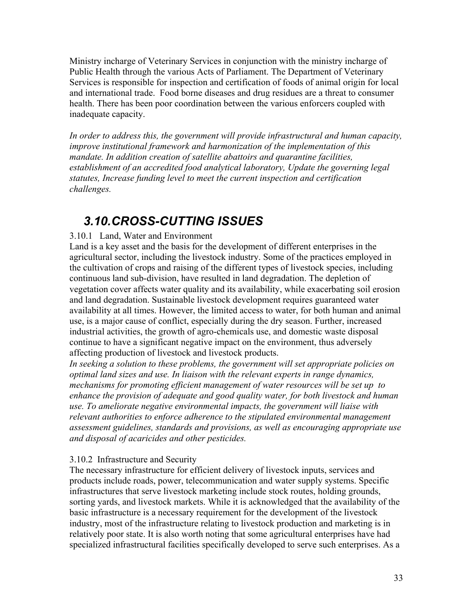Ministry incharge of Veterinary Services in conjunction with the ministry incharge of Public Health through the various Acts of Parliament. The Department of Veterinary Services is responsible for inspection and certification of foods of animal origin for local and international trade. Food borne diseases and drug residues are a threat to consumer health. There has been poor coordination between the various enforcers coupled with inadequate capacity.

*In order to address this, the government will provide infrastructural and human capacity, improve institutional framework and harmonization of the implementation of this mandate. In addition creation of satellite abattoirs and quarantine facilities, establishment of an accredited food analytical laboratory, Update the governing legal statutes, Increase funding level to meet the current inspection and certification challenges.* 

## *3.10. CROSS-CUTTING ISSUES*

### 3.10.1 Land, Water and Environment

Land is a key asset and the basis for the development of different enterprises in the agricultural sector, including the livestock industry. Some of the practices employed in the cultivation of crops and raising of the different types of livestock species, including continuous land sub-division, have resulted in land degradation. The depletion of vegetation cover affects water quality and its availability, while exacerbating soil erosion and land degradation. Sustainable livestock development requires guaranteed water availability at all times. However, the limited access to water, for both human and animal use, is a major cause of conflict, especially during the dry season. Further, increased industrial activities, the growth of agro-chemicals use, and domestic waste disposal continue to have a significant negative impact on the environment, thus adversely affecting production of livestock and livestock products.

*In seeking a solution to these problems, the government will set appropriate policies on optimal land sizes and use. In liaison with the relevant experts in range dynamics, mechanisms for promoting efficient management of water resources will be set up to enhance the provision of adequate and good quality water, for both livestock and human use. To ameliorate negative environmental impacts, the government will liaise with relevant authorities to enforce adherence to the stipulated environmental management assessment guidelines, standards and provisions, as well as encouraging appropriate use and disposal of acaricides and other pesticides.*

### 3.10.2 Infrastructure and Security

The necessary infrastructure for efficient delivery of livestock inputs, services and products include roads, power, telecommunication and water supply systems. Specific infrastructures that serve livestock marketing include stock routes, holding grounds, sorting yards, and livestock markets. While it is acknowledged that the availability of the basic infrastructure is a necessary requirement for the development of the livestock industry, most of the infrastructure relating to livestock production and marketing is in relatively poor state. It is also worth noting that some agricultural enterprises have had specialized infrastructural facilities specifically developed to serve such enterprises. As a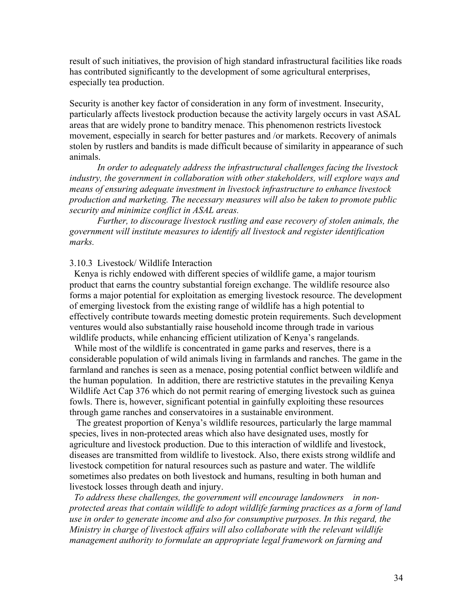result of such initiatives, the provision of high standard infrastructural facilities like roads has contributed significantly to the development of some agricultural enterprises, especially tea production.

Security is another key factor of consideration in any form of investment. Insecurity, particularly affects livestock production because the activity largely occurs in vast ASAL areas that are widely prone to banditry menace. This phenomenon restricts livestock movement, especially in search for better pastures and /or markets. Recovery of animals stolen by rustlers and bandits is made difficult because of similarity in appearance of such animals.

 *In order to adequately address the infrastructural challenges facing the livestock industry, the government in collaboration with other stakeholders, will explore ways and means of ensuring adequate investment in livestock infrastructure to enhance livestock production and marketing. The necessary measures will also be taken to promote public security and minimize conflict in ASAL areas.* 

 *Further, to discourage livestock rustling and ease recovery of stolen animals, the government will institute measures to identify all livestock and register identification marks.* 

#### 3.10.3 Livestock/ Wildlife Interaction

 Kenya is richly endowed with different species of wildlife game, a major tourism product that earns the country substantial foreign exchange. The wildlife resource also forms a major potential for exploitation as emerging livestock resource. The development of emerging livestock from the existing range of wildlife has a high potential to effectively contribute towards meeting domestic protein requirements. Such development ventures would also substantially raise household income through trade in various wildlife products, while enhancing efficient utilization of Kenya's rangelands.

 While most of the wildlife is concentrated in game parks and reserves, there is a considerable population of wild animals living in farmlands and ranches. The game in the farmland and ranches is seen as a menace, posing potential conflict between wildlife and the human population. In addition, there are restrictive statutes in the prevailing Kenya Wildlife Act Cap 376 which do not permit rearing of emerging livestock such as guinea fowls. There is, however, significant potential in gainfully exploiting these resources through game ranches and conservatoires in a sustainable environment.

 The greatest proportion of Kenya's wildlife resources, particularly the large mammal species, lives in non-protected areas which also have designated uses, mostly for agriculture and livestock production. Due to this interaction of wildlife and livestock, diseases are transmitted from wildlife to livestock. Also, there exists strong wildlife and livestock competition for natural resources such as pasture and water. The wildlife sometimes also predates on both livestock and humans, resulting in both human and livestock losses through death and injury.

 *To address these challenges, the government will encourage landowners in nonprotected areas that contain wildlife to adopt wildlife farming practices as a form of land use in order to generate income and also for consumptive purposes. In this regard, the Ministry in charge of livestock affairs will also collaborate with the relevant wildlife management authority to formulate an appropriate legal framework on farming and*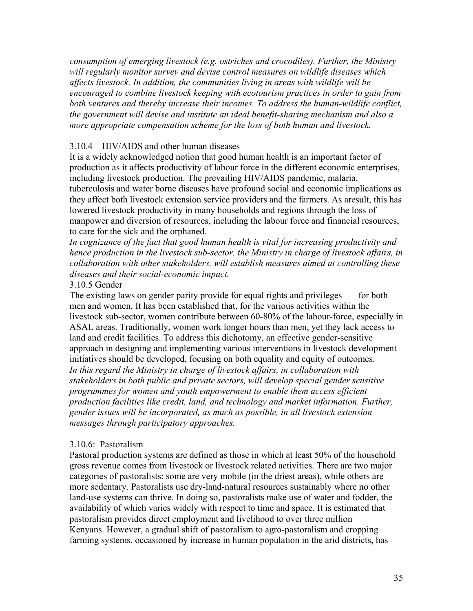*consumption of emerging livestock (e.g. ostriches and crocodiles). Further, the Ministry will regularly monitor survey and devise control measures on wildlife diseases which affects livestock. In addition, the communities living in areas with wildlife will be encouraged to combine livestock keeping with ecotourism practices in order to gain from both ventures and thereby increase their incomes. To address the human-wildlife conflict, the government will devise and institute an ideal benefit-sharing mechanism and also a more appropriate compensation scheme for the loss of both human and livestock.*

### 3.10.4 HIV/AIDS and other human diseases

It is a widely acknowledged notion that good human health is an important factor of production as it affects productivity of labour force in the different economic enterprises, including livestock production. The prevailing HIV/AIDS pandemic, malaria, tuberculosis and water borne diseases have profound social and economic implications as they affect both livestock extension service providers and the farmers. As aresult, this has lowered livestock productivity in many households and regions through the loss of manpower and diversion of resources, including the labour force and financial resources, to care for the sick and the orphaned.

*In cognizance of the fact that good human health is vital for increasing productivity and hence production in the livestock sub-sector, the Ministry in charge of livestock affairs, in collaboration with other stakeholders, will establish measures aimed at controlling these diseases and their social-economic impact.*

### 3.10.5 Gender

The existing laws on gender parity provide for equal rights and privileges for both men and women. It has been established that, for the various activities within the livestock sub-sector, women contribute between 60-80% of the labour-force, especially in ASAL areas. Traditionally, women work longer hours than men, yet they lack access to land and credit facilities. To address this dichotomy, an effective gender-sensitive approach in designing and implementing various interventions in livestock development initiatives should be developed, focusing on both equality and equity of outcomes. *In this regard the Ministry in charge of livestock affairs, in collaboration with stakeholders in both public and private sectors, will develop special gender sensitive programmes for women and youth empowerment to enable them access efficient production facilities like credit, land, and technology and market information. Further, gender issues will be incorporated, as much as possible, in all livestock extension messages through participatory approaches.* 

### 3.10.6: Pastoralism

Pastoral production systems are defined as those in which at least 50% of the household gross revenue comes from livestock or livestock related activities. There are two major categories of pastoralists: some are very mobile (in the driest areas), while others are more sedentary. Pastoralists use dry-land-natural resources sustainably where no other land-use systems can thrive. In doing so, pastoralists make use of water and fodder, the availability of which varies widely with respect to time and space. It is estimated that pastoralism provides direct employment and livelihood to over three million Kenyans. However, a gradual shift of pastoralism to agro-pastoralism and cropping farming systems, occasioned by increase in human population in the arid districts, has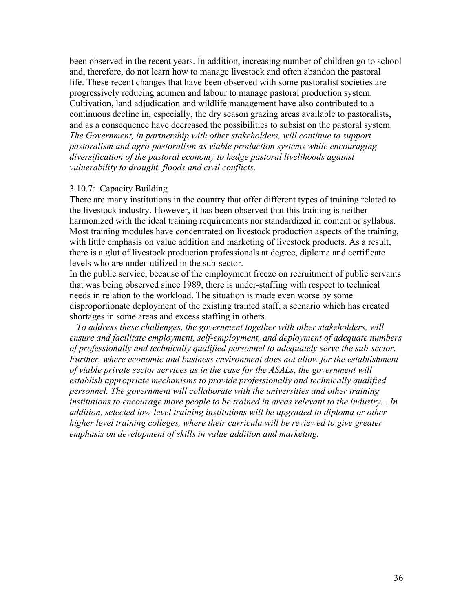been observed in the recent years. In addition, increasing number of children go to school and, therefore, do not learn how to manage livestock and often abandon the pastoral life. These recent changes that have been observed with some pastoralist societies are progressively reducing acumen and labour to manage pastoral production system. Cultivation, land adjudication and wildlife management have also contributed to a continuous decline in, especially, the dry season grazing areas available to pastoralists, and as a consequence have decreased the possibilities to subsist on the pastoral system. *The Government, in partnership with other stakeholders, will continue to support pastoralism and agro-pastoralism as viable production systems while encouraging diversification of the pastoral economy to hedge pastoral livelihoods against vulnerability to drought, floods and civil conflicts.* 

#### 3.10.7: Capacity Building

There are many institutions in the country that offer different types of training related to the livestock industry. However, it has been observed that this training is neither harmonized with the ideal training requirements nor standardized in content or syllabus. Most training modules have concentrated on livestock production aspects of the training, with little emphasis on value addition and marketing of livestock products. As a result, there is a glut of livestock production professionals at degree, diploma and certificate levels who are under-utilized in the sub-sector.

In the public service, because of the employment freeze on recruitment of public servants that was being observed since 1989, there is under-staffing with respect to technical needs in relation to the workload. The situation is made even worse by some disproportionate deployment of the existing trained staff, a scenario which has created shortages in some areas and excess staffing in others.

 *To address these challenges, the government together with other stakeholders, will ensure and facilitate employment, self-employment, and deployment of adequate numbers of professionally and technically qualified personnel to adequately serve the sub-sector. Further, where economic and business environment does not allow for the establishment of viable private sector services as in the case for the ASALs, the government will establish appropriate mechanisms to provide professionally and technically qualified personnel. The government will collaborate with the universities and other training institutions to encourage more people to be trained in areas relevant to the industry. . In addition, selected low-level training institutions will be upgraded to diploma or other higher level training colleges, where their curricula will be reviewed to give greater emphasis on development of skills in value addition and marketing.*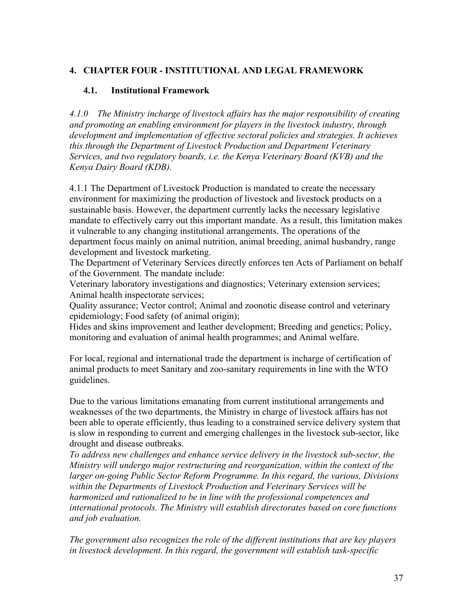### **4. CHAPTER FOUR - INSTITUTIONAL AND LEGAL FRAMEWORK**

### **4.1. Institutional Framework**

*4.1.0 The Ministry incharge of livestock affairs has the major responsibility of creating and promoting an enabling environment for players in the livestock industry, through development and implementation of effective sectoral policies and strategies. It achieves this through the Department of Livestock Production and Department Veterinary Services, and two regulatory boards, i.e. the Kenya Veterinary Board (KVB) and the Kenya Dairy Board (KDB).* 

4.1.1 The Department of Livestock Production is mandated to create the necessary environment for maximizing the production of livestock and livestock products on a sustainable basis. However, the department currently lacks the necessary legislative mandate to effectively carry out this important mandate. As a result, this limitation makes it vulnerable to any changing institutional arrangements. The operations of the department focus mainly on animal nutrition, animal breeding, animal husbandry, range development and livestock marketing.

The Department of Veterinary Services directly enforces ten Acts of Parliament on behalf of the Government. The mandate include:

Veterinary laboratory investigations and diagnostics; Veterinary extension services; Animal health inspectorate services;

Quality assurance; Vector control; Animal and zoonotic disease control and veterinary epidemiology; Food safety (of animal origin);

Hides and skins improvement and leather development; Breeding and genetics; Policy, monitoring and evaluation of animal health programmes; and Animal welfare.

For local, regional and international trade the department is incharge of certification of animal products to meet Sanitary and zoo-sanitary requirements in line with the WTO guidelines.

Due to the various limitations emanating from current institutional arrangements and weaknesses of the two departments, the Ministry in charge of livestock affairs has not been able to operate efficiently, thus leading to a constrained service delivery system that is slow in responding to current and emerging challenges in the livestock sub-sector, like drought and disease outbreaks.

*To address new challenges and enhance service delivery in the livestock sub-sector, the Ministry will undergo major restructuring and reorganization, within the context of the larger on-going Public Sector Reform Programme. In this regard, the various, Divisions within the Departments of Livestock Production and Veterinary Services will be harmonized and rationalized to be in line with the professional competences and international protocols. The Ministry will establish directorates based on core functions and job evaluation.* 

*The government also recognizes the role of the different institutions that are key players in livestock development. In this regard, the government will establish task-specific*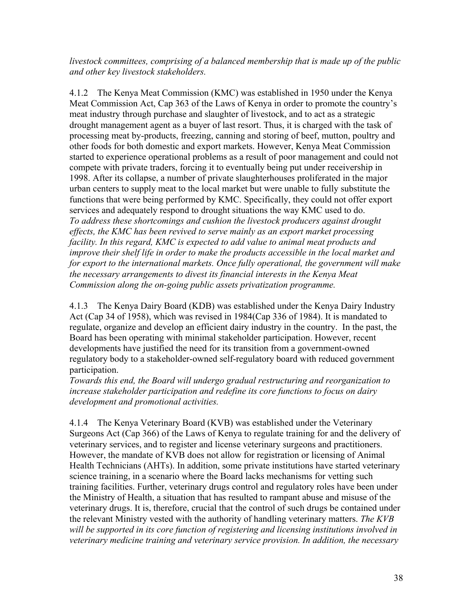*livestock committees, comprising of a balanced membership that is made up of the public and other key livestock stakeholders.* 

4.1.2 The Kenya Meat Commission (KMC) was established in 1950 under the Kenya Meat Commission Act, Cap 363 of the Laws of Kenya in order to promote the country's meat industry through purchase and slaughter of livestock, and to act as a strategic drought management agent as a buyer of last resort. Thus, it is charged with the task of processing meat by-products, freezing, canning and storing of beef, mutton, poultry and other foods for both domestic and export markets. However, Kenya Meat Commission started to experience operational problems as a result of poor management and could not compete with private traders, forcing it to eventually being put under receivership in 1998. After its collapse, a number of private slaughterhouses proliferated in the major urban centers to supply meat to the local market but were unable to fully substitute the functions that were being performed by KMC. Specifically, they could not offer export services and adequately respond to drought situations the way KMC used to do. *To address these shortcomings and cushion the livestock producers against drought effects, the KMC has been revived to serve mainly as an export market processing facility. In this regard, KMC is expected to add value to animal meat products and improve their shelf life in order to make the products accessible in the local market and for export to the international markets. Once fully operational, the government will make the necessary arrangements to divest its financial interests in the Kenya Meat Commission along the on-going public assets privatization programme.* 

4.1.3 The Kenya Dairy Board (KDB) was established under the Kenya Dairy Industry Act (Cap 34 of 1958), which was revised in 1984(Cap 336 of 1984). It is mandated to regulate, organize and develop an efficient dairy industry in the country. In the past, the Board has been operating with minimal stakeholder participation. However, recent developments have justified the need for its transition from a government-owned regulatory body to a stakeholder-owned self-regulatory board with reduced government participation.

*Towards this end, the Board will undergo gradual restructuring and reorganization to increase stakeholder participation and redefine its core functions to focus on dairy development and promotional activities.*

4.1.4 The Kenya Veterinary Board (KVB) was established under the Veterinary Surgeons Act (Cap 366) of the Laws of Kenya to regulate training for and the delivery of veterinary services, and to register and license veterinary surgeons and practitioners. However, the mandate of KVB does not allow for registration or licensing of Animal Health Technicians (AHTs). In addition, some private institutions have started veterinary science training, in a scenario where the Board lacks mechanisms for vetting such training facilities. Further, veterinary drugs control and regulatory roles have been under the Ministry of Health, a situation that has resulted to rampant abuse and misuse of the veterinary drugs. It is, therefore, crucial that the control of such drugs be contained under the relevant Ministry vested with the authority of handling veterinary matters. *The KVB will be supported in its core function of registering and licensing institutions involved in veterinary medicine training and veterinary service provision. In addition, the necessary*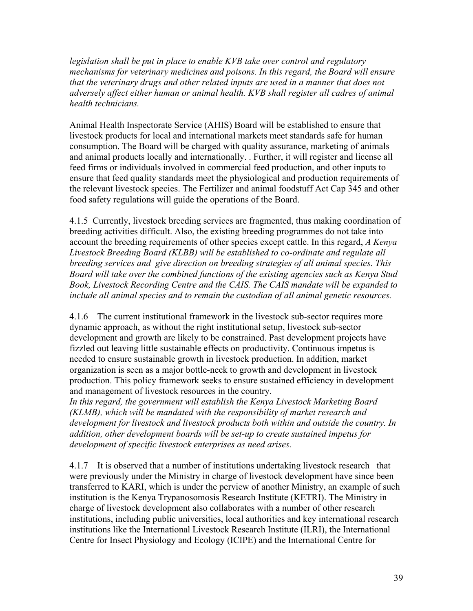*legislation shall be put in place to enable KVB take over control and regulatory mechanisms for veterinary medicines and poisons. In this regard, the Board will ensure that the veterinary drugs and other related inputs are used in a manner that does not adversely affect either human or animal health. KVB shall register all cadres of animal health technicians.* 

Animal Health Inspectorate Service (AHIS) Board will be established to ensure that livestock products for local and international markets meet standards safe for human consumption. The Board will be charged with quality assurance, marketing of animals and animal products locally and internationally. . Further, it will register and license all feed firms or individuals involved in commercial feed production, and other inputs to ensure that feed quality standards meet the physiological and production requirements of the relevant livestock species. The Fertilizer and animal foodstuff Act Cap 345 and other food safety regulations will guide the operations of the Board.

4.1.5 Currently, livestock breeding services are fragmented, thus making coordination of breeding activities difficult. Also, the existing breeding programmes do not take into account the breeding requirements of other species except cattle. In this regard, *A Kenya Livestock Breeding Board (KLBB) will be established to co-ordinate and regulate all breeding services and give direction on breeding strategies of all animal species. This Board will take over the combined functions of the existing agencies such as Kenya Stud Book, Livestock Recording Centre and the CAIS. The CAIS mandate will be expanded to include all animal species and to remain the custodian of all animal genetic resources.*

4.1.6 The current institutional framework in the livestock sub-sector requires more dynamic approach, as without the right institutional setup, livestock sub-sector development and growth are likely to be constrained. Past development projects have fizzled out leaving little sustainable effects on productivity. Continuous impetus is needed to ensure sustainable growth in livestock production. In addition, market organization is seen as a major bottle-neck to growth and development in livestock production. This policy framework seeks to ensure sustained efficiency in development and management of livestock resources in the country.

*In this regard, the government will establish the Kenya Livestock Marketing Board (KLMB), which will be mandated with the responsibility of market research and development for livestock and livestock products both within and outside the country. In addition, other development boards will be set-up to create sustained impetus for development of specific livestock enterprises as need arises.* 

4.1.7 It is observed that a number of institutions undertaking livestock research that were previously under the Ministry in charge of livestock development have since been transferred to KARI, which is under the perview of another Ministry, an example of such institution is the Kenya Trypanosomosis Research Institute (KETRI). The Ministry in charge of livestock development also collaborates with a number of other research institutions, including public universities, local authorities and key international research institutions like the International Livestock Research Institute (ILRI), the International Centre for Insect Physiology and Ecology (ICIPE) and the International Centre for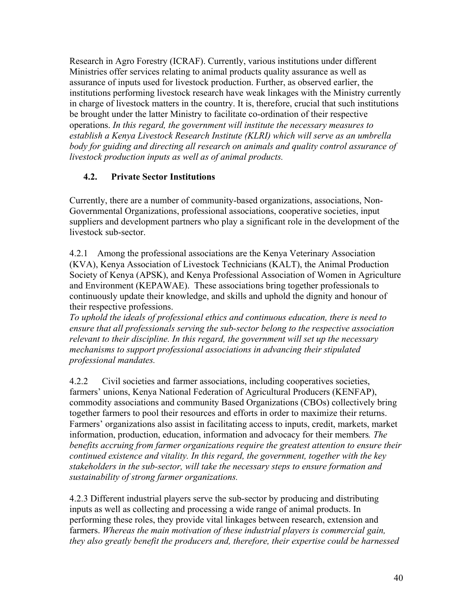Research in Agro Forestry (ICRAF). Currently, various institutions under different Ministries offer services relating to animal products quality assurance as well as assurance of inputs used for livestock production. Further, as observed earlier, the institutions performing livestock research have weak linkages with the Ministry currently in charge of livestock matters in the country. It is, therefore, crucial that such institutions be brought under the latter Ministry to facilitate co-ordination of their respective operations. *In this regard, the government will institute the necessary measures to establish a Kenya Livestock Research Institute (KLRI) which will serve as an umbrella body for guiding and directing all research on animals and quality control assurance of livestock production inputs as well as of animal products.* 

### **4.2. Private Sector Institutions**

Currently, there are a number of community-based organizations, associations, Non-Governmental Organizations, professional associations, cooperative societies, input suppliers and development partners who play a significant role in the development of the livestock sub-sector.

4.2.1 Among the professional associations are the Kenya Veterinary Association (KVA), Kenya Association of Livestock Technicians (KALT), the Animal Production Society of Kenya (APSK), and Kenya Professional Association of Women in Agriculture and Environment (KEPAWAE). These associations bring together professionals to continuously update their knowledge, and skills and uphold the dignity and honour of their respective professions.

*To uphold the ideals of professional ethics and continuous education, there is need to ensure that all professionals serving the sub-sector belong to the respective association relevant to their discipline. In this regard, the government will set up the necessary mechanisms to support professional associations in advancing their stipulated professional mandates.* 

4.2.2 Civil societies and farmer associations, including cooperatives societies, farmers' unions, Kenya National Federation of Agricultural Producers (KENFAP), commodity associations and community Based Organizations (CBOs) collectively bring together farmers to pool their resources and efforts in order to maximize their returns. Farmers' organizations also assist in facilitating access to inputs, credit, markets, market information, production, education, information and advocacy for their members*. The benefits accruing from farmer organizations require the greatest attention to ensure their continued existence and vitality. In this regard, the government, together with the key stakeholders in the sub-sector, will take the necessary steps to ensure formation and sustainability of strong farmer organizations.* 

4.2.3 Different industrial players serve the sub-sector by producing and distributing inputs as well as collecting and processing a wide range of animal products. In performing these roles, they provide vital linkages between research, extension and farmers. *Whereas the main motivation of these industrial players is commercial gain, they also greatly benefit the producers and, therefore, their expertise could be harnessed*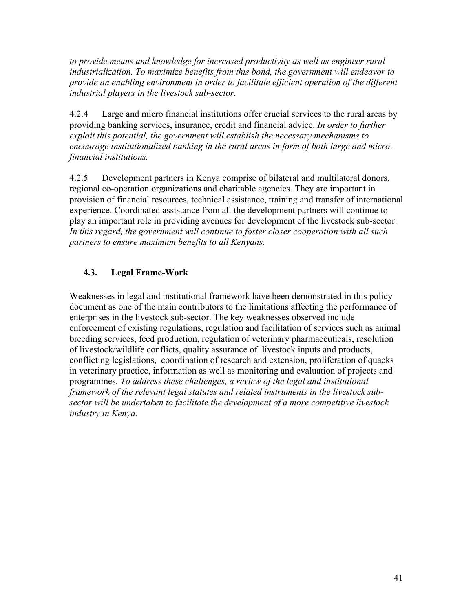to provide means and knowledge for increased productivity as well as engineer rural *industrialization. To maximize benefits from this bond, the government will endeavor to provide an enabling environment in order to facilitate efficient operation of the different industrial players in the livestock sub-sector.* 

4.2.4 Large and micro financial institutions offer crucial services to the rural areas by providing banking services, insurance, credit and financial advice. *In order to further exploit this potential, the government will establish the necessary mechanisms to encourage institutionalized banking in the rural areas in form of both large and microfinancial institutions.* 

4.2.5 Development partners in Kenya comprise of bilateral and multilateral donors, regional co-operation organizations and charitable agencies. They are important in provision of financial resources, technical assistance, training and transfer of international experience. Coordinated assistance from all the development partners will continue to play an important role in providing avenues for development of the livestock sub-sector. *In this regard, the government will continue to foster closer cooperation with all such partners to ensure maximum benefits to all Kenyans.* 

### **4.3. Legal Frame-Work**

Weaknesses in legal and institutional framework have been demonstrated in this policy document as one of the main contributors to the limitations affecting the performance of enterprises in the livestock sub-sector. The key weaknesses observed include enforcement of existing regulations, regulation and facilitation of services such as animal breeding services, feed production, regulation of veterinary pharmaceuticals, resolution of livestock/wildlife conflicts, quality assurance of livestock inputs and products, conflicting legislations, coordination of research and extension, proliferation of quacks in veterinary practice, information as well as monitoring and evaluation of projects and programmes*. To address these challenges, a review of the legal and institutional framework of the relevant legal statutes and related instruments in the livestock subsector will be undertaken to facilitate the development of a more competitive livestock industry in Kenya.*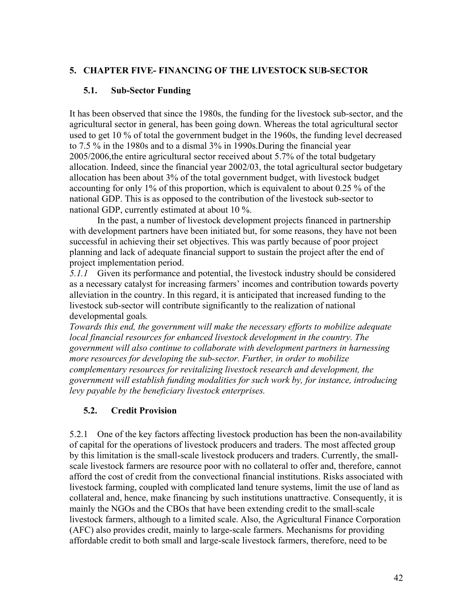### **5. CHAPTER FIVE- FINANCING OF THE LIVESTOCK SUB-SECTOR**

### **5.1. Sub-Sector Funding**

It has been observed that since the 1980s, the funding for the livestock sub-sector, and the agricultural sector in general, has been going down. Whereas the total agricultural sector used to get 10 % of total the government budget in the 1960s, the funding level decreased to 7.5 % in the 1980s and to a dismal 3% in 1990s.During the financial year 2005/2006,the entire agricultural sector received about 5.7% of the total budgetary allocation. Indeed, since the financial year 2002/03, the total agricultural sector budgetary allocation has been about 3% of the total government budget, with livestock budget accounting for only 1% of this proportion, which is equivalent to about 0.25 % of the national GDP. This is as opposed to the contribution of the livestock sub-sector to national GDP, currently estimated at about 10 %.

 In the past, a number of livestock development projects financed in partnership with development partners have been initiated but, for some reasons, they have not been successful in achieving their set objectives. This was partly because of poor project planning and lack of adequate financial support to sustain the project after the end of project implementation period.

*5.1.1* Given its performance and potential, the livestock industry should be considered as a necessary catalyst for increasing farmers' incomes and contribution towards poverty alleviation in the country. In this regard, it is anticipated that increased funding to the livestock sub-sector will contribute significantly to the realization of national developmental goals*.* 

*Towards this end, the government will make the necessary efforts to mobilize adequate local financial resources for enhanced livestock development in the country. The government will also continue to collaborate with development partners in harnessing more resources for developing the sub-sector. Further, in order to mobilize complementary resources for revitalizing livestock research and development, the government will establish funding modalities for such work by, for instance, introducing levy payable by the beneficiary livestock enterprises.* 

### **5.2. Credit Provision**

5.2.1 One of the key factors affecting livestock production has been the non-availability of capital for the operations of livestock producers and traders. The most affected group by this limitation is the small-scale livestock producers and traders. Currently, the smallscale livestock farmers are resource poor with no collateral to offer and, therefore, cannot afford the cost of credit from the convectional financial institutions. Risks associated with livestock farming, coupled with complicated land tenure systems, limit the use of land as collateral and, hence, make financing by such institutions unattractive. Consequently, it is mainly the NGOs and the CBOs that have been extending credit to the small-scale livestock farmers, although to a limited scale. Also, the Agricultural Finance Corporation (AFC) also provides credit, mainly to large-scale farmers. Mechanisms for providing affordable credit to both small and large-scale livestock farmers, therefore, need to be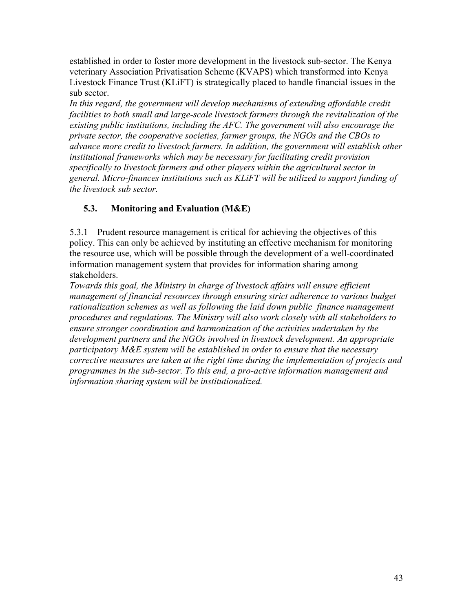established in order to foster more development in the livestock sub-sector. The Kenya veterinary Association Privatisation Scheme (KVAPS) which transformed into Kenya Livestock Finance Trust (KLiFT) is strategically placed to handle financial issues in the sub sector.

*In this regard, the government will develop mechanisms of extending affordable credit facilities to both small and large-scale livestock farmers through the revitalization of the existing public institutions, including the AFC. The government will also encourage the private sector, the cooperative societies, farmer groups, the NGOs and the CBOs to advance more credit to livestock farmers. In addition, the government will establish other institutional frameworks which may be necessary for facilitating credit provision specifically to livestock farmers and other players within the agricultural sector in general. Micro-finances institutions such as KLiFT will be utilized to support funding of the livestock sub sector.* 

### **5.3. Monitoring and Evaluation (M&E)**

5.3.1 Prudent resource management is critical for achieving the objectives of this policy. This can only be achieved by instituting an effective mechanism for monitoring the resource use, which will be possible through the development of a well-coordinated information management system that provides for information sharing among stakeholders.

*Towards this goal, the Ministry in charge of livestock affairs will ensure efficient management of financial resources through ensuring strict adherence to various budget*  rationalization schemes as well as following the laid down public finance management *procedures and regulations. The Ministry will also work closely with all stakeholders to ensure stronger coordination and harmonization of the activities undertaken by the development partners and the NGOs involved in livestock development. An appropriate participatory M&E system will be established in order to ensure that the necessary corrective measures are taken at the right time during the implementation of projects and programmes in the sub-sector. To this end, a pro-active information management and information sharing system will be institutionalized.*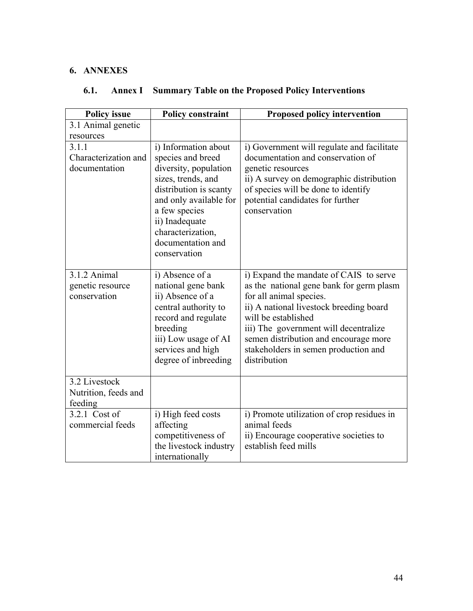### **6. ANNEXES**

| <b>Policy issue</b>                              | <b>Policy constraint</b>                                                                                                                                                                                                                  | <b>Proposed policy intervention</b>                                                                                                                                                                                                                                                                                       |
|--------------------------------------------------|-------------------------------------------------------------------------------------------------------------------------------------------------------------------------------------------------------------------------------------------|---------------------------------------------------------------------------------------------------------------------------------------------------------------------------------------------------------------------------------------------------------------------------------------------------------------------------|
| 3.1 Animal genetic                               |                                                                                                                                                                                                                                           |                                                                                                                                                                                                                                                                                                                           |
| resources                                        |                                                                                                                                                                                                                                           |                                                                                                                                                                                                                                                                                                                           |
| 3.1.1<br>Characterization and<br>documentation   | i) Information about<br>species and breed<br>diversity, population<br>sizes, trends, and<br>distribution is scanty<br>and only available for<br>a few species<br>ii) Inadequate<br>characterization,<br>documentation and<br>conservation | i) Government will regulate and facilitate<br>documentation and conservation of<br>genetic resources<br>ii) A survey on demographic distribution<br>of species will be done to identify<br>potential candidates for further<br>conservation                                                                               |
| 3.1.2 Animal<br>genetic resource<br>conservation | i) Absence of a<br>national gene bank<br>ii) Absence of a<br>central authority to<br>record and regulate<br>breeding<br>iii) Low usage of AI<br>services and high<br>degree of inbreeding                                                 | i) Expand the mandate of CAIS to serve<br>as the national gene bank for germ plasm<br>for all animal species.<br>ii) A national livestock breeding board<br>will be established<br>iii) The government will decentralize<br>semen distribution and encourage more<br>stakeholders in semen production and<br>distribution |
| 3.2 Livestock<br>Nutrition, feeds and<br>feeding |                                                                                                                                                                                                                                           |                                                                                                                                                                                                                                                                                                                           |
| 3.2.1 Cost of<br>commercial feeds                | i) High feed costs<br>affecting<br>competitiveness of<br>the livestock industry<br>internationally                                                                                                                                        | i) Promote utilization of crop residues in<br>animal feeds<br>ii) Encourage cooperative societies to<br>establish feed mills                                                                                                                                                                                              |

### **6.1. Annex I Summary Table on the Proposed Policy Interventions**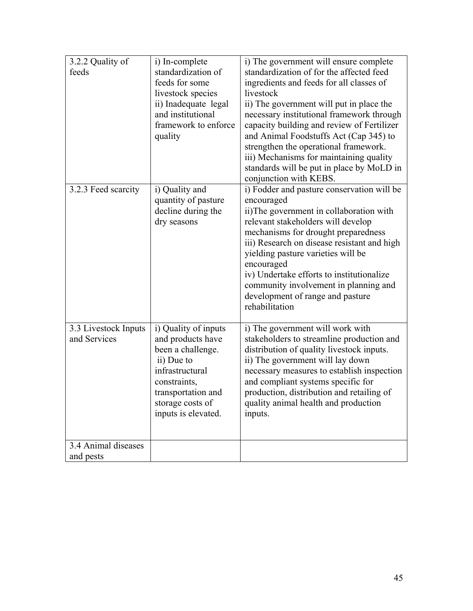| 3.2.2 Quality of<br>feeds            | i) In-complete<br>standardization of<br>feeds for some<br>livestock species<br>ii) Inadequate legal<br>and institutional<br>framework to enforce<br>quality                      | i) The government will ensure complete<br>standardization of for the affected feed<br>ingredients and feeds for all classes of<br>livestock<br>ii) The government will put in place the<br>necessary institutional framework through<br>capacity building and review of Fertilizer<br>and Animal Foodstuffs Act (Cap 345) to<br>strengthen the operational framework.<br>iii) Mechanisms for maintaining quality<br>standards will be put in place by MoLD in<br>conjunction with KEBS. |
|--------------------------------------|----------------------------------------------------------------------------------------------------------------------------------------------------------------------------------|-----------------------------------------------------------------------------------------------------------------------------------------------------------------------------------------------------------------------------------------------------------------------------------------------------------------------------------------------------------------------------------------------------------------------------------------------------------------------------------------|
| 3.2.3 Feed scarcity                  | i) Quality and<br>quantity of pasture<br>decline during the<br>dry seasons                                                                                                       | i) Fodder and pasture conservation will be<br>encouraged<br>ii)The government in collaboration with<br>relevant stakeholders will develop<br>mechanisms for drought preparedness<br>iii) Research on disease resistant and high<br>yielding pasture varieties will be<br>encouraged<br>iv) Undertake efforts to institutionalize<br>community involvement in planning and<br>development of range and pasture<br>rehabilitation                                                         |
| 3.3 Livestock Inputs<br>and Services | i) Quality of inputs<br>and products have<br>been a challenge.<br>ii) Due to<br>infrastructural<br>constraints,<br>transportation and<br>storage costs of<br>inputs is elevated. | i) The government will work with<br>stakeholders to streamline production and<br>distribution of quality livestock inputs.<br>ii) The government will lay down<br>necessary measures to establish inspection<br>and compliant systems specific for<br>production, distribution and retailing of<br>quality animal health and production<br>inputs.                                                                                                                                      |
| 3.4 Animal diseases<br>and pests     |                                                                                                                                                                                  |                                                                                                                                                                                                                                                                                                                                                                                                                                                                                         |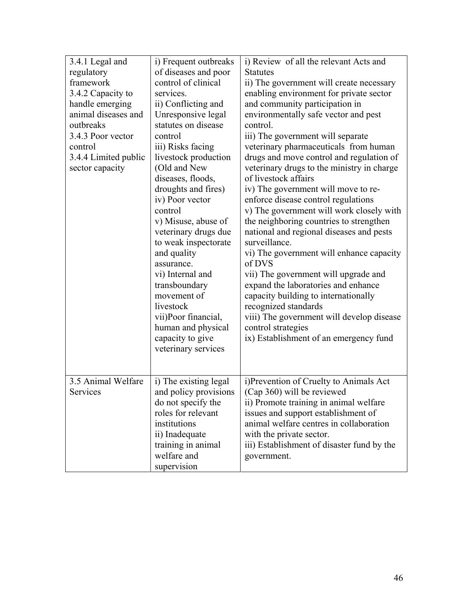| 3.4.1 Legal and<br>regulatory<br>framework<br>3.4.2 Capacity to<br>handle emerging<br>animal diseases and<br>outbreaks<br>3.4.3 Poor vector<br>control | i) Frequent outbreaks<br>of diseases and poor<br>control of clinical<br>services.<br>ii) Conflicting and<br>Unresponsive legal<br>statutes on disease<br>control<br>iii) Risks facing                                                                                                                                                                                       | i) Review of all the relevant Acts and<br><b>Statutes</b><br>ii) The government will create necessary<br>enabling environment for private sector<br>and community participation in<br>environmentally safe vector and pest<br>control.<br>iii) The government will separate<br>veterinary pharmaceuticals from human                                                                                                                                                                                                                                                                                                                                               |
|--------------------------------------------------------------------------------------------------------------------------------------------------------|-----------------------------------------------------------------------------------------------------------------------------------------------------------------------------------------------------------------------------------------------------------------------------------------------------------------------------------------------------------------------------|--------------------------------------------------------------------------------------------------------------------------------------------------------------------------------------------------------------------------------------------------------------------------------------------------------------------------------------------------------------------------------------------------------------------------------------------------------------------------------------------------------------------------------------------------------------------------------------------------------------------------------------------------------------------|
| 3.4.4 Limited public<br>sector capacity                                                                                                                | livestock production<br>(Old and New<br>diseases, floods,<br>droughts and fires)<br>iv) Poor vector<br>control<br>v) Misuse, abuse of<br>veterinary drugs due<br>to weak inspectorate<br>and quality<br>assurance.<br>vi) Internal and<br>transboundary<br>movement of<br>livestock<br>vii)Poor financial,<br>human and physical<br>capacity to give<br>veterinary services | drugs and move control and regulation of<br>veterinary drugs to the ministry in charge<br>of livestock affairs<br>iv) The government will move to re-<br>enforce disease control regulations<br>v) The government will work closely with<br>the neighboring countries to strengthen<br>national and regional diseases and pests<br>surveillance.<br>vi) The government will enhance capacity<br>of DVS<br>vii) The government will upgrade and<br>expand the laboratories and enhance<br>capacity building to internationally<br>recognized standards<br>viii) The government will develop disease<br>control strategies<br>ix) Establishment of an emergency fund |
| 3.5 Animal Welfare<br>Services                                                                                                                         | i) The existing legal<br>and policy provisions<br>do not specify the<br>roles for relevant<br>institutions<br>ii) Inadequate<br>training in animal<br>welfare and<br>supervision                                                                                                                                                                                            | i)Prevention of Cruelty to Animals Act<br>(Cap 360) will be reviewed<br>ii) Promote training in animal welfare<br>issues and support establishment of<br>animal welfare centres in collaboration<br>with the private sector.<br>iii) Establishment of disaster fund by the<br>government.                                                                                                                                                                                                                                                                                                                                                                          |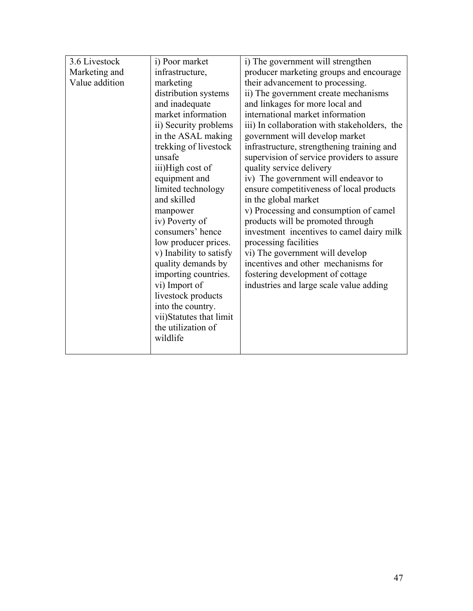| 3.6 Livestock<br>Marketing and<br>Value addition | i) Poor market<br>infrastructure,<br>marketing<br>distribution systems<br>and inadequate<br>market information<br>ii) Security problems<br>in the ASAL making<br>trekking of livestock<br>unsafe<br>iii)High cost of<br>equipment and<br>limited technology<br>and skilled<br>manpower<br>iv) Poverty of<br>consumers' hence<br>low producer prices.<br>v) Inability to satisfy<br>quality demands by<br>importing countries.<br>vi) Import of<br>livestock products<br>into the country.<br>vii)Statutes that limit<br>the utilization of<br>wildlife | i) The government will strengthen<br>producer marketing groups and encourage<br>their advancement to processing.<br>ii) The government create mechanisms<br>and linkages for more local and<br>international market information<br>iii) In collaboration with stakeholders, the<br>government will develop market<br>infrastructure, strengthening training and<br>supervision of service providers to assure<br>quality service delivery<br>iv) The government will endeavor to<br>ensure competitiveness of local products<br>in the global market<br>v) Processing and consumption of camel<br>products will be promoted through<br>investment incentives to camel dairy milk<br>processing facilities<br>vi) The government will develop<br>incentives and other mechanisms for<br>fostering development of cottage<br>industries and large scale value adding |
|--------------------------------------------------|--------------------------------------------------------------------------------------------------------------------------------------------------------------------------------------------------------------------------------------------------------------------------------------------------------------------------------------------------------------------------------------------------------------------------------------------------------------------------------------------------------------------------------------------------------|--------------------------------------------------------------------------------------------------------------------------------------------------------------------------------------------------------------------------------------------------------------------------------------------------------------------------------------------------------------------------------------------------------------------------------------------------------------------------------------------------------------------------------------------------------------------------------------------------------------------------------------------------------------------------------------------------------------------------------------------------------------------------------------------------------------------------------------------------------------------|
|--------------------------------------------------|--------------------------------------------------------------------------------------------------------------------------------------------------------------------------------------------------------------------------------------------------------------------------------------------------------------------------------------------------------------------------------------------------------------------------------------------------------------------------------------------------------------------------------------------------------|--------------------------------------------------------------------------------------------------------------------------------------------------------------------------------------------------------------------------------------------------------------------------------------------------------------------------------------------------------------------------------------------------------------------------------------------------------------------------------------------------------------------------------------------------------------------------------------------------------------------------------------------------------------------------------------------------------------------------------------------------------------------------------------------------------------------------------------------------------------------|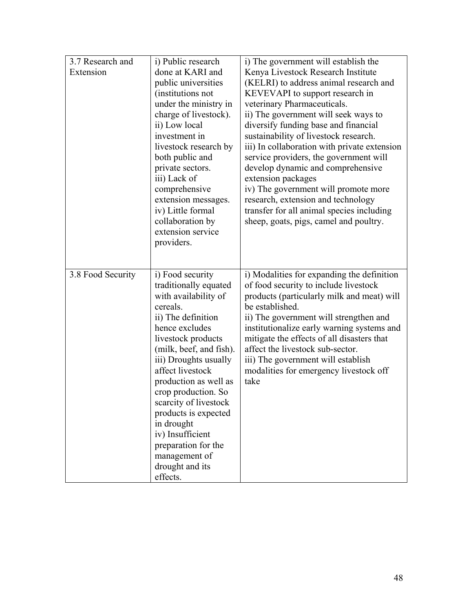| 3.7 Research and<br>Extension | i) Public research<br>done at KARI and<br>public universities<br>(institutions not<br>under the ministry in<br>charge of livestock).<br>ii) Low local                                                                                                                                                                                                                                                                         | i) The government will establish the<br>Kenya Livestock Research Institute<br>(KELRI) to address animal research and<br>KEVEVAPI to support research in<br>veterinary Pharmaceuticals.<br>ii) The government will seek ways to<br>diversify funding base and financial                                                                                                                                                 |
|-------------------------------|-------------------------------------------------------------------------------------------------------------------------------------------------------------------------------------------------------------------------------------------------------------------------------------------------------------------------------------------------------------------------------------------------------------------------------|------------------------------------------------------------------------------------------------------------------------------------------------------------------------------------------------------------------------------------------------------------------------------------------------------------------------------------------------------------------------------------------------------------------------|
|                               | investment in<br>livestock research by<br>both public and<br>private sectors.<br>iii) Lack of<br>comprehensive<br>extension messages.<br>iv) Little formal<br>collaboration by<br>extension service<br>providers.                                                                                                                                                                                                             | sustainability of livestock research.<br>iii) In collaboration with private extension<br>service providers, the government will<br>develop dynamic and comprehensive<br>extension packages<br>iv) The government will promote more<br>research, extension and technology<br>transfer for all animal species including<br>sheep, goats, pigs, camel and poultry.                                                        |
| 3.8 Food Security             | i) Food security<br>traditionally equated<br>with availability of<br>cereals.<br>ii) The definition<br>hence excludes<br>livestock products<br>(milk, beef, and fish).<br>iii) Droughts usually<br>affect livestock<br>production as well as<br>crop production. So<br>scarcity of livestock<br>products is expected<br>in drought<br>iv) Insufficient<br>preparation for the<br>management of<br>drought and its<br>effects. | i) Modalities for expanding the definition<br>of food security to include livestock<br>products (particularly milk and meat) will<br>be established.<br>ii) The government will strengthen and<br>institutionalize early warning systems and<br>mitigate the effects of all disasters that<br>affect the livestock sub-sector.<br>iii) The government will establish<br>modalities for emergency livestock off<br>take |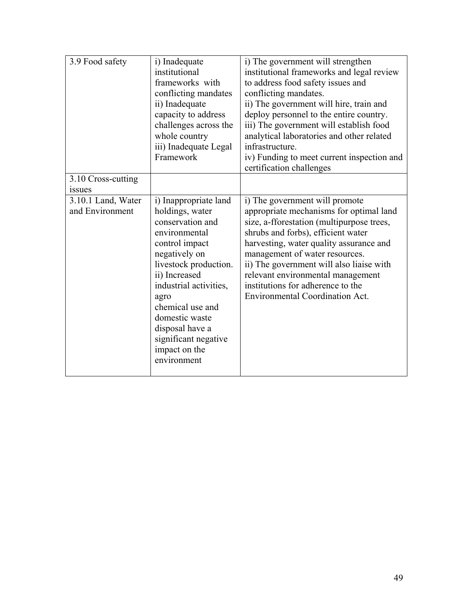| 3.9 Food safety                       | i) Inadequate<br>institutional<br>frameworks with<br>conflicting mandates<br>ii) Inadequate<br>capacity to address<br>challenges across the<br>whole country<br>iii) Inadequate Legal<br>Framework                                                                                                            | i) The government will strengthen<br>institutional frameworks and legal review<br>to address food safety issues and<br>conflicting mandates.<br>ii) The government will hire, train and<br>deploy personnel to the entire country.<br>iii) The government will establish food<br>analytical laboratories and other related<br>infrastructure.<br>iv) Funding to meet current inspection and<br>certification challenges |
|---------------------------------------|---------------------------------------------------------------------------------------------------------------------------------------------------------------------------------------------------------------------------------------------------------------------------------------------------------------|-------------------------------------------------------------------------------------------------------------------------------------------------------------------------------------------------------------------------------------------------------------------------------------------------------------------------------------------------------------------------------------------------------------------------|
| 3.10 Cross-cutting<br><b>1SSUeS</b>   |                                                                                                                                                                                                                                                                                                               |                                                                                                                                                                                                                                                                                                                                                                                                                         |
| 3.10.1 Land, Water<br>and Environment | i) Inappropriate land<br>holdings, water<br>conservation and<br>environmental<br>control impact<br>negatively on<br>livestock production.<br>ii) Increased<br>industrial activities,<br>agro<br>chemical use and<br>domestic waste<br>disposal have a<br>significant negative<br>impact on the<br>environment | i) The government will promote<br>appropriate mechanisms for optimal land<br>size, a-fforestation (multipurpose trees,<br>shrubs and forbs), efficient water<br>harvesting, water quality assurance and<br>management of water resources.<br>ii) The government will also liaise with<br>relevant environmental management<br>institutions for adherence to the<br><b>Environmental Coordination Act.</b>               |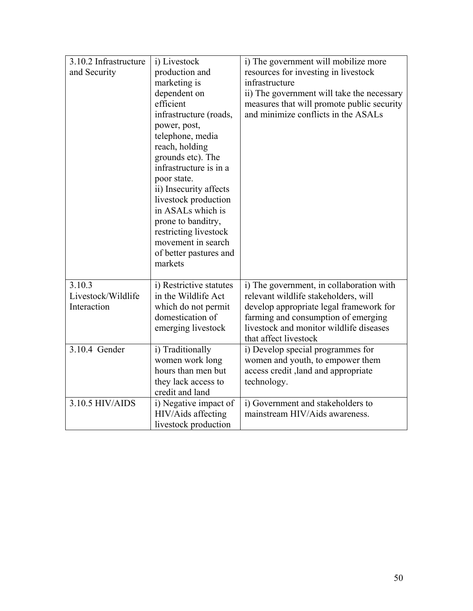| 3.10.2 Infrastructure | i) Livestock            | i) The government will mobilize more       |
|-----------------------|-------------------------|--------------------------------------------|
| and Security          | production and          | resources for investing in livestock       |
|                       | marketing is            | infrastructure                             |
|                       | dependent on            | ii) The government will take the necessary |
|                       | efficient               | measures that will promote public security |
|                       | infrastructure (roads,  | and minimize conflicts in the ASALs        |
|                       | power, post,            |                                            |
|                       | telephone, media        |                                            |
|                       | reach, holding          |                                            |
|                       | grounds etc). The       |                                            |
|                       | infrastructure is in a  |                                            |
|                       | poor state.             |                                            |
|                       | ii) Insecurity affects  |                                            |
|                       | livestock production    |                                            |
|                       | in ASALs which is       |                                            |
|                       | prone to banditry,      |                                            |
|                       | restricting livestock   |                                            |
|                       | movement in search      |                                            |
|                       | of better pastures and  |                                            |
|                       | markets                 |                                            |
|                       |                         |                                            |
| 3.10.3                | i) Restrictive statutes | i) The government, in collaboration with   |
| Livestock/Wildlife    | in the Wildlife Act     | relevant wildlife stakeholders, will       |
| Interaction           | which do not permit     | develop appropriate legal framework for    |
|                       | domestication of        | farming and consumption of emerging        |
|                       | emerging livestock      | livestock and monitor wildlife diseases    |
|                       |                         | that affect livestock                      |
| 3.10.4 Gender         | i) Traditionally        | i) Develop special programmes for          |
|                       | women work long         | women and youth, to empower them           |
|                       | hours than men but      | access credit, land and appropriate        |
|                       | they lack access to     | technology.                                |
|                       | credit and land         |                                            |
| 3.10.5 HIV/AIDS       | i) Negative impact of   | i) Government and stakeholders to          |
|                       | HIV/Aids affecting      | mainstream HIV/Aids awareness.             |
|                       | livestock production    |                                            |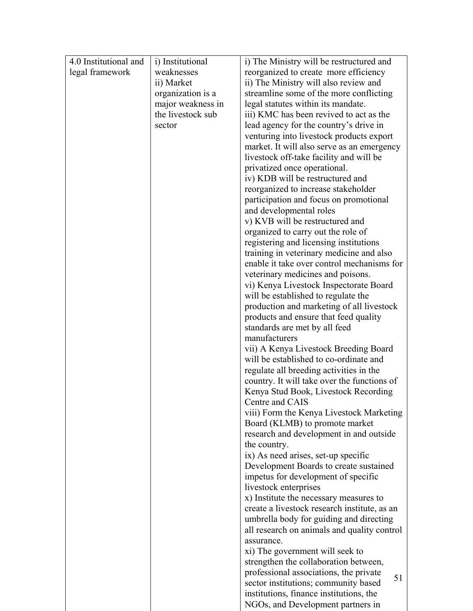| 4.0 Institutional and | i) Institutional  | i) The Ministry will be restructured and                                         |
|-----------------------|-------------------|----------------------------------------------------------------------------------|
| legal framework       | weaknesses        | reorganized to create more efficiency                                            |
|                       | ii) Market        | ii) The Ministry will also review and                                            |
|                       | organization is a | streamline some of the more conflicting                                          |
|                       | major weakness in | legal statutes within its mandate.                                               |
|                       | the livestock sub | iii) KMC has been revived to act as the                                          |
|                       | sector            | lead agency for the country's drive in                                           |
|                       |                   | venturing into livestock products export                                         |
|                       |                   | market. It will also serve as an emergency                                       |
|                       |                   | livestock off-take facility and will be                                          |
|                       |                   | privatized once operational.                                                     |
|                       |                   | iv) KDB will be restructured and                                                 |
|                       |                   | reorganized to increase stakeholder                                              |
|                       |                   | participation and focus on promotional                                           |
|                       |                   | and developmental roles                                                          |
|                       |                   | v) KVB will be restructured and                                                  |
|                       |                   | organized to carry out the role of                                               |
|                       |                   | registering and licensing institutions                                           |
|                       |                   | training in veterinary medicine and also                                         |
|                       |                   | enable it take over control mechanisms for                                       |
|                       |                   | veterinary medicines and poisons.                                                |
|                       |                   | vi) Kenya Livestock Inspectorate Board                                           |
|                       |                   | will be established to regulate the<br>production and marketing of all livestock |
|                       |                   | products and ensure that feed quality                                            |
|                       |                   | standards are met by all feed                                                    |
|                       |                   | manufacturers                                                                    |
|                       |                   | vii) A Kenya Livestock Breeding Board                                            |
|                       |                   | will be established to co-ordinate and                                           |
|                       |                   | regulate all breeding activities in the                                          |
|                       |                   | country. It will take over the functions of                                      |
|                       |                   | Kenya Stud Book, Livestock Recording                                             |
|                       |                   | Centre and CAIS                                                                  |
|                       |                   | viii) Form the Kenya Livestock Marketing                                         |
|                       |                   | Board (KLMB) to promote market                                                   |
|                       |                   | research and development in and outside                                          |
|                       |                   | the country.                                                                     |
|                       |                   | ix) As need arises, set-up specific                                              |
|                       |                   | Development Boards to create sustained                                           |
|                       |                   | impetus for development of specific                                              |
|                       |                   | livestock enterprises                                                            |
|                       |                   | x) Institute the necessary measures to                                           |
|                       |                   | create a livestock research institute, as an                                     |
|                       |                   | umbrella body for guiding and directing                                          |
|                       |                   | all research on animals and quality control                                      |
|                       |                   | assurance.                                                                       |
|                       |                   | xi) The government will seek to                                                  |
|                       |                   | strengthen the collaboration between,                                            |
|                       |                   | professional associations, the private<br>51                                     |
|                       |                   | sector institutions; community based                                             |
|                       |                   | institutions, finance institutions, the                                          |
|                       |                   | NGOs, and Development partners in                                                |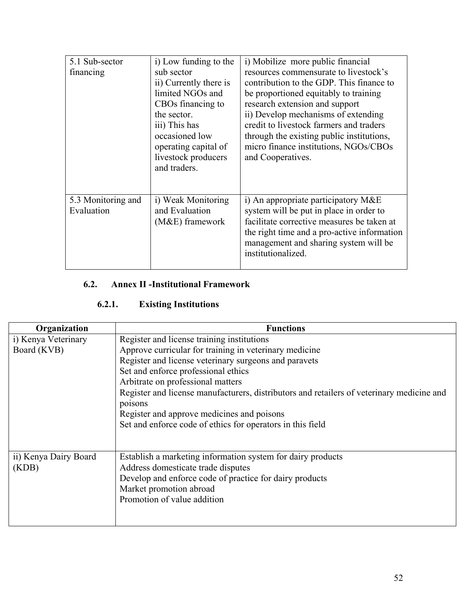| 5.1 Sub-sector<br>financing      | i) Low funding to the<br>sub sector<br>ii) Currently there is<br>limited NGOs and<br>CBOs financing to<br>the sector.<br>iii) This has<br>occasioned low<br>operating capital of<br>livestock producers<br>and traders. | i) Mobilize more public financial<br>resources commensurate to livestock's<br>contribution to the GDP. This finance to<br>be proportioned equitably to training<br>research extension and support<br>ii) Develop mechanisms of extending<br>credit to livestock farmers and traders<br>through the existing public institutions,<br>micro finance institutions, NGOs/CBOs<br>and Cooperatives. |
|----------------------------------|-------------------------------------------------------------------------------------------------------------------------------------------------------------------------------------------------------------------------|------------------------------------------------------------------------------------------------------------------------------------------------------------------------------------------------------------------------------------------------------------------------------------------------------------------------------------------------------------------------------------------------|
| 5.3 Monitoring and<br>Evaluation | i) Weak Monitoring<br>and Evaluation<br>$(M&E)$ framework                                                                                                                                                               | i) An appropriate participatory M&E<br>system will be put in place in order to<br>facilitate corrective measures be taken at<br>the right time and a pro-active information<br>management and sharing system will be<br>institutionalized.                                                                                                                                                     |

### **6.2. Annex II -Institutional Framework**

### **6.2.1. Existing Institutions**

| Organization          | <b>Functions</b>                                                                          |
|-----------------------|-------------------------------------------------------------------------------------------|
| i) Kenya Veterinary   | Register and license training institutions                                                |
| Board (KVB)           | Approve curricular for training in veterinary medicine                                    |
|                       | Register and license veterinary surgeons and paravets                                     |
|                       | Set and enforce professional ethics                                                       |
|                       | Arbitrate on professional matters                                                         |
|                       | Register and license manufacturers, distributors and retailers of veterinary medicine and |
|                       | poisons                                                                                   |
|                       | Register and approve medicines and poisons                                                |
|                       | Set and enforce code of ethics for operators in this field                                |
|                       |                                                                                           |
| ii) Kenya Dairy Board | Establish a marketing information system for dairy products                               |
| (KDB)                 | Address domesticate trade disputes                                                        |
|                       | Develop and enforce code of practice for dairy products                                   |
|                       | Market promotion abroad                                                                   |
|                       | Promotion of value addition                                                               |
|                       |                                                                                           |
|                       |                                                                                           |